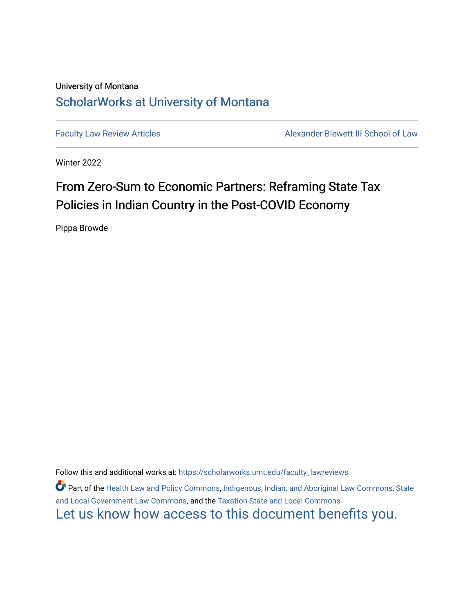# University of Montana [ScholarWorks at University of Montana](https://scholarworks.umt.edu/)

[Faculty Law Review Articles](https://scholarworks.umt.edu/faculty_lawreviews) **Alexander Blewett III School of Law** 

Winter 2022

# From Zero-Sum to Economic Partners: Reframing State Tax Policies in Indian Country in the Post-COVID Economy

Pippa Browde

Follow this and additional works at: [https://scholarworks.umt.edu/faculty\\_lawreviews](https://scholarworks.umt.edu/faculty_lawreviews?utm_source=scholarworks.umt.edu%2Ffaculty_lawreviews%2F202&utm_medium=PDF&utm_campaign=PDFCoverPages)

**C** Part of the [Health Law and Policy Commons](http://network.bepress.com/hgg/discipline/901?utm_source=scholarworks.umt.edu%2Ffaculty_lawreviews%2F202&utm_medium=PDF&utm_campaign=PDFCoverPages), [Indigenous, Indian, and Aboriginal Law Commons](http://network.bepress.com/hgg/discipline/894?utm_source=scholarworks.umt.edu%2Ffaculty_lawreviews%2F202&utm_medium=PDF&utm_campaign=PDFCoverPages), State [and Local Government Law Commons](http://network.bepress.com/hgg/discipline/879?utm_source=scholarworks.umt.edu%2Ffaculty_lawreviews%2F202&utm_medium=PDF&utm_campaign=PDFCoverPages), and the [Taxation-State and Local Commons](http://network.bepress.com/hgg/discipline/882?utm_source=scholarworks.umt.edu%2Ffaculty_lawreviews%2F202&utm_medium=PDF&utm_campaign=PDFCoverPages)  [Let us know how access to this document benefits you.](https://goo.gl/forms/s2rGfXOLzz71qgsB2)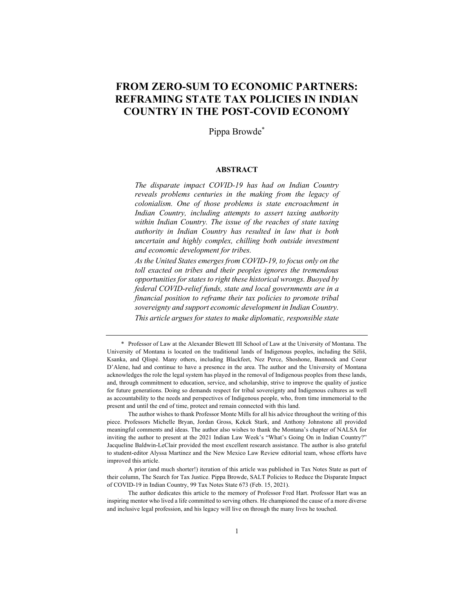# **FROM ZERO-SUM TO ECONOMIC PARTNERS: REFRAMING STATE TAX POLICIES IN INDIAN COUNTRY IN THE POST-COVID ECONOMY**

Pippa Browde\*

#### **ABSTRACT**

*The disparate impact COVID-19 has had on Indian Country reveals problems centuries in the making from the legacy of colonialism. One of those problems is state encroachment in Indian Country, including attempts to assert taxing authority within Indian Country. The issue of the reaches of state taxing authority in Indian Country has resulted in law that is both uncertain and highly complex, chilling both outside investment and economic development for tribes.*

*As the United States emerges from COVID-19, to focus only on the toll exacted on tribes and their peoples ignores the tremendous opportunities for states to right these historical wrongs. Buoyed by federal COVID-relief funds, state and local governments are in a financial position to reframe their tax policies to promote tribal sovereignty and support economic development in Indian Country. This article argues for states to make diplomatic, responsible state* 

The author wishes to thank Professor Monte Mills for all his advice throughout the writing of this piece. Professors Michelle Bryan, Jordan Gross, Kekek Stark, and Anthony Johnstone all provided meaningful comments and ideas. The author also wishes to thank the Montana's chapter of NALSA for inviting the author to present at the 2021 Indian Law Week's "What's Going On in Indian Country?" Jacqueline Baldwin-LeClair provided the most excellent research assistance. The author is also grateful to student-editor Alyssa Martinez and the New Mexico Law Review editorial team, whose efforts have improved this article.

The author dedicates this article to the memory of Professor Fred Hart. Professor Hart was an inspiring mentor who lived a life committed to serving others. He championed the cause of a more diverse and inclusive legal profession, and his legacy will live on through the many lives he touched.

<sup>\*</sup> Professor of Law at the Alexander Blewett III School of Law at the University of Montana. The University of Montana is located on the traditional lands of Indigenous peoples, including the Séliš, Ksanka, and Qlispé. Many others, including Blackfeet, Nez Perce, Shoshone, Bannock and Coeur D'Alene, had and continue to have a presence in the area. The author and the University of Montana acknowledges the role the legal system has played in the removal of Indigenous peoples from these lands, and, through commitment to education, service, and scholarship, strive to improve the quality of justice for future generations. Doing so demands respect for tribal sovereignty and Indigenous cultures as well as accountability to the needs and perspectives of Indigenous people, who, from time immemorial to the present and until the end of time, protect and remain connected with this land.

A prior (and much shorter!) iteration of this article was published in Tax Notes State as part of their column, The Search for Tax Justice. Pippa Browde, SALT Policies to Reduce the Disparate Impact of COVID-19 in Indian Country, 99 Tax Notes State 673 (Feb. 15, 2021).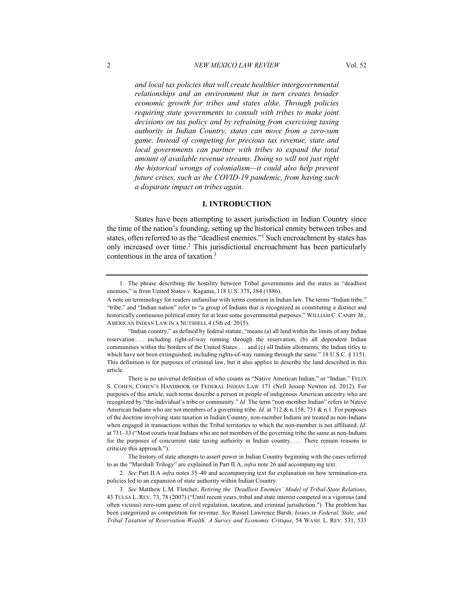*and local tax policies that will create healthier intergovernmental relationships and an environment that in turn creates broader economic growth for tribes and states alike. Through policies requiring state governments to consult with tribes to make joint decisions on tax policy and by refraining from exercising taxing authority in Indian Country, states can move from a zero-sum game. Instead of competing for precious tax revenue, state and local governments can partner with tribes to expand the total amount of available revenue streams. Doing so will not just right the historical wrongs of colonialism—it could also help prevent future crises, such as the COVID-19 pandemic, from having such a disparate impact on tribes again.*

### **I. INTRODUCTION**

States have been attempting to assert jurisdiction in Indian Country since the time of the nation's founding, setting up the historical enmity between tribes and states, often referred to as the "deadliest enemies."1 Such encroachment by states has only increased over time.2 This jurisdictional encroachment has been particularly contentious in the area of taxation.<sup>3</sup>

<sup>1.</sup> The phrase describing the hostility between Tribal governments and the states as "deadliest enemies," is from United States v. Kagama, 118 U.S. 375**,** 384 (1886).

A note on terminology for readers unfamiliar with terms common in Indian law. The terms "Indian tribe," "tribe," and "Indian nation" refer to "a group of Indians that is recognized as constituting a distinct and historically continuous political entity for at least some governmental purposes." WILLIAM C. CANBY JR., AMERICAN INDIAN LAW IN A NUTSHELL 4 (5th ed. 2015).

<sup>&</sup>quot;Indian country," as defined by federal statute, "means (a) all land within the limits of any Indian reservation . . . including right-of-way running through the reservation, (b) all dependent Indian communities within the borders of the United States . . . and (c) all Indian allotments, the Indian titles to which have not been extinguished, including rights-of-way running through the same." 18 U.S.C. § 1151. This definition is for purposes of criminal law, but it also applies to describe the land described in this article.

There is no universal definition of who counts as "Native American Indian," or "Indian." FELIX S. COHEN, COHEN'S HANDBOOK OF FEDERAL INDIAN LAW 171 (Nell Jessop Newton ed. 2012). For purposes of this article, such terms describe a person or people of indigenous American ancestry who are recognized by "the individual's tribe or community." *Id*. The term "non-member Indian" refers to Native American Indians who are not members of a governing tribe. *Id*. at 712 & n.158, 731 & n.1. For purposes of the doctrine involving state taxation in Indian Country, non-member Indians are treated as non-Indians when engaged in transactions within the Tribal territories to which the non-member is not affiliated. *Id*. at 731–33 ("Most courts treat Indians who are not members of the governing tribe the same as non-Indians for the purposes of concurrent state taxing authority in Indian country.... There remain reasons to criticize this approach.").

The history of state attempts to assert power in Indian Country beginning with the cases referred to as the "Marshall Trilogy" are explained in Part II.A, *infra* note 26 and accompanying text.

<sup>2</sup>*. See* Part II.A *infra* notes 35–40 and accompanying text for explanation on how termination-era policies led to an expansion of state authority within Indian Country.

<sup>3</sup>*. See* Matthew L.M. Fletcher, *Retiring the 'Deadliest Enemies' Model of Tribal-State Relations*, 43 TULSA L. REV. 73, 78 (2007) ("Until recent years, tribal and state interest competed in a vigorous (and often vicious) zero-sum game of civil regulation, taxation, and criminal jurisdiction."). The problem has been categorized as competition for revenue. *See* Russel Lawrence Barsh, *Issues in Federal, State, and Tribal Taxation of Reservation Wealth: A Survey and Economic Critique*, 54 WASH. L. REV. 531, 533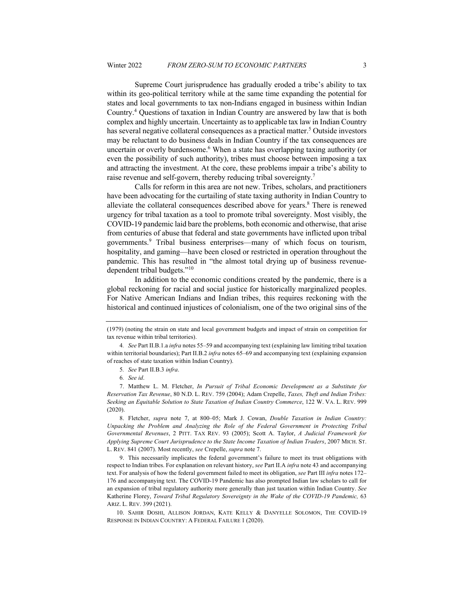Supreme Court jurisprudence has gradually eroded a tribe's ability to tax within its geo-political territory while at the same time expanding the potential for states and local governments to tax non-Indians engaged in business within Indian Country.4 Questions of taxation in Indian Country are answered by law that is both complex and highly uncertain. Uncertainty as to applicable tax law in Indian Country has several negative collateral consequences as a practical matter.<sup>5</sup> Outside investors may be reluctant to do business deals in Indian Country if the tax consequences are uncertain or overly burdensome.<sup>6</sup> When a state has overlapping taxing authority (or even the possibility of such authority), tribes must choose between imposing a tax and attracting the investment. At the core, these problems impair a tribe's ability to raise revenue and self-govern, thereby reducing tribal sovereignty.7

Calls for reform in this area are not new. Tribes, scholars, and practitioners have been advocating for the curtailing of state taxing authority in Indian Country to alleviate the collateral consequences described above for years.8 There is renewed urgency for tribal taxation as a tool to promote tribal sovereignty. Most visibly, the COVID-19 pandemic laid bare the problems, both economic and otherwise, that arise from centuries of abuse that federal and state governments have inflicted upon tribal governments.9 Tribal business enterprises—many of which focus on tourism, hospitality, and gaming—have been closed or restricted in operation throughout the pandemic. This has resulted in "the almost total drying up of business revenuedependent tribal budgets."10

In addition to the economic conditions created by the pandemic, there is a global reckoning for racial and social justice for historically marginalized peoples. For Native American Indians and Indian tribes, this requires reckoning with the historical and continued injustices of colonialism, one of the two original sins of the

8. Fletcher, *supra* note 7, at 800–05; Mark J. Cowan, *Double Taxation in Indian Country: Unpacking the Problem and Analyzing the Role of the Federal Government in Protecting Tribal Governmental Revenues*, 2 PITT. TAX REV. 93 (2005); Scott A. Taylor, *A Judicial Framework for Applying Supreme Court Jurisprudence to the State Income Taxation of Indian Traders*, 2007 MICH. ST. L. REV. 841 (2007). Most recently, *see* Crepelle, *supra* note 7.

9. This necessarily implicates the federal government's failure to meet its trust obligations with respect to Indian tribes. For explanation on relevant history, *see* Part II.A *infra* note 43 and accompanying text. For analysis of how the federal government failed to meet its obligation, *see* Part III *infra* notes 172– 176 and accompanying text. The COVID-19 Pandemic has also prompted Indian law scholars to call for an expansion of tribal regulatory authority more generally than just taxation within Indian Country. *See*  Katherine Florey, *Toward Tribal Regulatory Sovereignty in the Wake of the COVID-19 Pandemic,* 63 ARIZ. L. REV. 399 (2021).

10. SAHIR DOSHI, ALLISON JORDAN, KATE KELLY & DANYELLE SOLOMON, THE COVID-19 RESPONSE IN INDIAN COUNTRY: A FEDERAL FAILURE 1 (2020).

<sup>(1979) (</sup>noting the strain on state and local government budgets and impact of strain on competition for tax revenue within tribal territories).

<sup>4</sup>*. See* Part II.B.1.a *infra* notes 55–59 and accompanying text (explaining law limiting tribal taxation within territorial boundaries); Part II.B.2 *infra* notes 65–69 and accompanying text (explaining expansion of reaches of state taxation within Indian Country).

<sup>5</sup>*. See* Part II.B.3 *infra*.

<sup>6</sup>*. See id*.

<sup>7.</sup> Matthew L. M. Fletcher, *In Pursuit of Tribal Economic Development as a Substitute for Reservation Tax Revenue*, 80 N.D. L. REV. 759 (2004); Adam Crepelle, *Taxes, Theft and Indian Tribes: Seeking an Equitable Solution to State Taxation of Indian Country Commerce*, 122 W. VA. L. REV. 999 (2020).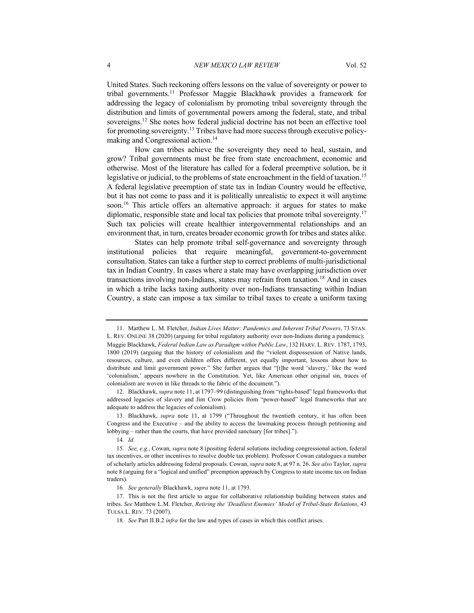United States. Such reckoning offers lessons on the value of sovereignty or power to tribal governments.11 Professor Maggie Blackhawk provides a framework for addressing the legacy of colonialism by promoting tribal sovereignty through the distribution and limits of governmental powers among the federal, state, and tribal sovereigns.12 She notes how federal judicial doctrine has not been an effective tool for promoting sovereignty.13 Tribes have had more success through executive policymaking and Congressional action.14

How can tribes achieve the sovereignty they need to heal, sustain, and grow? Tribal governments must be free from state encroachment, economic and otherwise. Most of the literature has called for a federal preemptive solution, be it legislative or judicial, to the problems of state encroachment in the field of taxation.<sup>15</sup> A federal legislative preemption of state tax in Indian Country would be effective, but it has not come to pass and it is politically unrealistic to expect it will anytime soon.<sup>16</sup> This article offers an alternative approach: it argues for states to make diplomatic, responsible state and local tax policies that promote tribal sovereignty.17 Such tax policies will create healthier intergovernmental relationships and an environment that, in turn, creates broader economic growth for tribes and states alike.

States can help promote tribal self-governance and sovereignty through institutional policies that require meaningful, government-to-government consultation. States can take a further step to correct problems of multi-jurisdictional tax in Indian Country. In cases where a state may have overlapping jurisdiction over transactions involving non-Indians, states may refrain from taxation.18 And in cases in which a tribe lacks taxing authority over non-Indians transacting within Indian Country, a state can impose a tax similar to tribal taxes to create a uniform taxing

12. Blackhawk, *supra* note 11, at 1797–99 (distinguishing from "rights-based" legal frameworks that addressed legacies of slavery and Jim Crow policies from "power-based" legal frameworks that are adequate to address the legacies of colonialism).

13. Blackhawk, *supra* note 11, at 1799 ("Throughout the twentieth century, it has often been Congress and the Executive – and the ability to access the lawmaking process through petitioning and lobbying – rather than the courts, that have provided sanctuary [for tribes].").

<sup>11.</sup> Matthew L. M. Fletcher, *Indian Lives Matter: Pandemics and Inherent Tribal Powers*, 73 STAN. L. REV. ONLINE 38 (2020) (arguing for tribal regulatory authority over non-Indians during a pandemic); Maggie Blackhawk, *Federal Indian Law as Paradigm within Public Law*, 132 HARV. L. REV. 1787, 1793, 1800 (2019) (arguing that the history of colonialism and the "violent dispossession of Native lands, resources, culture, and even children offers different, yet equally important, lessons about how to distribute and limit government power." She further argues that "[t]he word 'slavery,' like the word 'colonialism,' appears nowhere in the Constitution. Yet, like American other original sin, traces of colonialism are woven in like threads to the fabric of the document.").

<sup>14</sup>*. Id*.

<sup>15</sup>*. See, e.g.*, Cowan, *supra* note 8 (positing federal solutions including congressional action, federal tax incentives, or other incentives to resolve double tax problem). Professor Cowan catalogues a number of scholarly articles addressing federal proposals. Cowan, *supra* note 8, at 97 n. 26. *See also* Taylor, *supra*  note 8 (arguing for a "logical and unified" preemption approach by Congress to state income tax on Indian traders).

<sup>16</sup>*. See generally* Blackhawk, *supra* note 11, at 1793.

<sup>17.</sup> This is not the first article to argue for collaborative relationship building between states and tribes. *See* Matthew L.M. Fletcher, *Retiring the 'Deadliest Enemies' Model of Tribal-State Relations*, 43 TULSA L. REV. 73 (2007).

<sup>18</sup>*. See* Part II.B.2 *infra* for the law and types of cases in which this conflict arises.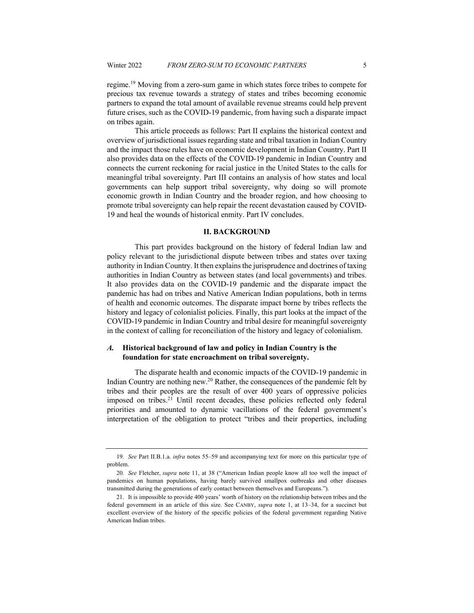regime.19 Moving from a zero-sum game in which states force tribes to compete for precious tax revenue towards a strategy of states and tribes becoming economic partners to expand the total amount of available revenue streams could help prevent future crises, such as the COVID-19 pandemic, from having such a disparate impact on tribes again.

This article proceeds as follows: Part II explains the historical context and overview of jurisdictional issues regarding state and tribal taxation in Indian Country and the impact those rules have on economic development in Indian Country. Part II also provides data on the effects of the COVID-19 pandemic in Indian Country and connects the current reckoning for racial justice in the United States to the calls for meaningful tribal sovereignty. Part III contains an analysis of how states and local governments can help support tribal sovereignty, why doing so will promote economic growth in Indian Country and the broader region, and how choosing to promote tribal sovereignty can help repair the recent devastation caused by COVID-19 and heal the wounds of historical enmity. Part IV concludes.

#### **II. BACKGROUND**

This part provides background on the history of federal Indian law and policy relevant to the jurisdictional dispute between tribes and states over taxing authority in Indian Country. It then explains the jurisprudence and doctrines of taxing authorities in Indian Country as between states (and local governments) and tribes. It also provides data on the COVID-19 pandemic and the disparate impact the pandemic has had on tribes and Native American Indian populations, both in terms of health and economic outcomes. The disparate impact borne by tribes reflects the history and legacy of colonialist policies. Finally, this part looks at the impact of the COVID-19 pandemic in Indian Country and tribal desire for meaningful sovereignty in the context of calling for reconciliation of the history and legacy of colonialism.

# *A.* **Historical background of law and policy in Indian Country is the foundation for state encroachment on tribal sovereignty.**

The disparate health and economic impacts of the COVID-19 pandemic in Indian Country are nothing new.20 Rather, the consequences of the pandemic felt by tribes and their peoples are the result of over 400 years of oppressive policies imposed on tribes.21 Until recent decades, these policies reflected only federal priorities and amounted to dynamic vacillations of the federal government's interpretation of the obligation to protect "tribes and their properties, including

<sup>19</sup>*. See* Part II.B.1.a. *infra* notes 55–59 and accompanying text for more on this particular type of problem.

<sup>20</sup>*. See* Fletcher, *supra* note 11, at 38 ("American Indian people know all too well the impact of pandemics on human populations, having barely survived smallpox outbreaks and other diseases transmitted during the generations of early contact between themselves and Europeans.").

<sup>21.</sup> It is impossible to provide 400 years' worth of history on the relationship between tribes and the federal government in an article of this size. See CANBY, *supra* note 1, at 13–34, for a succinct but excellent overview of the history of the specific policies of the federal government regarding Native American Indian tribes.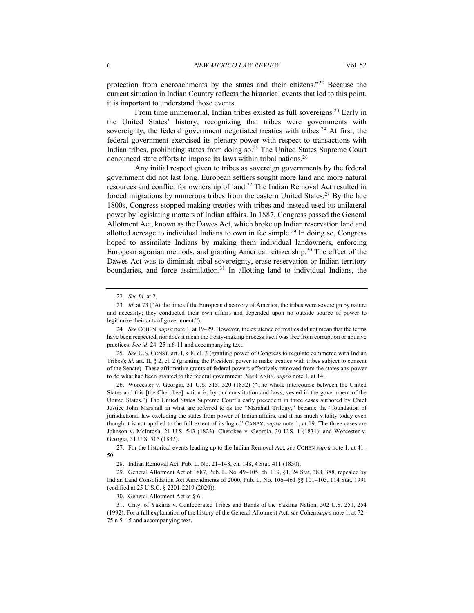protection from encroachments by the states and their citizens."22 Because the current situation in Indian Country reflects the historical events that led to this point, it is important to understand those events.

From time immemorial, Indian tribes existed as full sovereigns.<sup>23</sup> Early in the United States' history, recognizing that tribes were governments with sovereignty, the federal government negotiated treaties with tribes.<sup>24</sup> At first, the federal government exercised its plenary power with respect to transactions with Indian tribes, prohibiting states from doing so.25 The United States Supreme Court denounced state efforts to impose its laws within tribal nations.<sup>26</sup>

Any initial respect given to tribes as sovereign governments by the federal government did not last long. European settlers sought more land and more natural resources and conflict for ownership of land.27 The Indian Removal Act resulted in forced migrations by numerous tribes from the eastern United States.<sup>28</sup> By the late 1800s, Congress stopped making treaties with tribes and instead used its unilateral power by legislating matters of Indian affairs. In 1887, Congress passed the General Allotment Act, known as the Dawes Act, which broke up Indian reservation land and allotted acreage to individual Indians to own in fee simple.<sup>29</sup> In doing so, Congress hoped to assimilate Indians by making them individual landowners, enforcing European agrarian methods, and granting American citizenship.30 The effect of the Dawes Act was to diminish tribal sovereignty, erase reservation or Indian territory boundaries, and force assimilation.<sup>31</sup> In allotting land to individual Indians, the

25*. See* U.S. CONST. art. I, § 8, cl. 3 (granting power of Congress to regulate commerce with Indian Tribes); *id.* art. II, § 2, cl. 2 (granting the President power to make treaties with tribes subject to consent of the Senate). These affirmative grants of federal powers effectively removed from the states any power to do what had been granted to the federal government. *See* CANBY, *supra* note 1, at 14.

26. Worcester v. Georgia, 31 U.S. 515, 520 (1832) ("The whole intercourse between the United States and this [the Cherokee] nation is, by our constitution and laws, vested in the government of the United States.") The United States Supreme Court's early precedent in three cases authored by Chief Justice John Marshall in what are referred to as the "Marshall Trilogy," became the "foundation of jurisdictional law excluding the states from power of Indian affairs, and it has much vitality today even though it is not applied to the full extent of its logic." CANBY, *supra* note 1, at 19. The three cases are Johnson v. McIntosh, 21 U.S. 543 (1823); Cherokee v. Georgia, 30 U.S. 1 (1831); and Worcester v. Georgia, 31 U.S. 515 (1832).

27. For the historical events leading up to the Indian Removal Act, *see* COHEN *supra* note 1, at 41– 50.

<sup>22</sup>*. See Id.* at 2.

<sup>23</sup>*. Id.* at 73 ("At the time of the European discovery of America, the tribes were sovereign by nature and necessity; they conducted their own affairs and depended upon no outside source of power to legitimize their acts of government.").

<sup>24</sup>*. See* COHEN, *supra* note 1, at 19–29. However, the existence of treaties did not mean that the terms have been respected, nor does it mean the treaty-making process itself was free from corruption or abusive practices. *See id*. 24–25 n.6-11 and accompanying text.

<sup>28.</sup> Indian Removal Act, Pub. L. No. 21–148, ch. 148, 4 Stat. 411 (1830).

<sup>29.</sup> General Allotment Act of 1887, Pub. L. No. 49–105, ch. 119, §1, 24 Stat, 388, 388, repealed by Indian Land Consolidation Act Amendments of 2000, Pub. L. No. 106–461 §§ 101–103, 114 Stat. 1991 (codified at 25 U.S.C. § 2201-2219 (2020)).

<sup>30.</sup> General Allotment Act at § 6.

<sup>31.</sup> Cnty. of Yakima v. Confederated Tribes and Bands of the Yakima Nation, 502 U.S. 251, 254 (1992). For a full explanation of the history of the General Allotment Act, *see* Cohen *supra* note 1, at 72– 75 n.5–15 and accompanying text.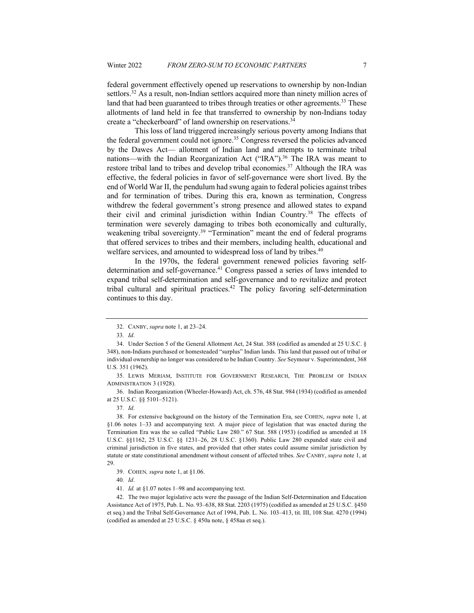federal government effectively opened up reservations to ownership by non-Indian settlors.<sup>32</sup> As a result, non-Indian settlors acquired more than ninety million acres of land that had been guaranteed to tribes through treaties or other agreements.<sup>33</sup> These allotments of land held in fee that transferred to ownership by non-Indians today create a "checkerboard" of land ownership on reservations.<sup>34</sup>

This loss of land triggered increasingly serious poverty among Indians that the federal government could not ignore.<sup>35</sup> Congress reversed the policies advanced by the Dawes Act— allotment of Indian land and attempts to terminate tribal nations—with the Indian Reorganization Act ("IRA").<sup>36</sup> The IRA was meant to restore tribal land to tribes and develop tribal economies.<sup>37</sup> Although the IRA was effective, the federal policies in favor of self-governance were short lived. By the end of World War II, the pendulum had swung again to federal policies against tribes and for termination of tribes. During this era, known as termination, Congress withdrew the federal government's strong presence and allowed states to expand their civil and criminal jurisdiction within Indian Country.<sup>38</sup> The effects of termination were severely damaging to tribes both economically and culturally, weakening tribal sovereignty.<sup>39</sup> "Termination" meant the end of federal programs that offered services to tribes and their members, including health, educational and welfare services, and amounted to widespread loss of land by tribes.<sup>40</sup>

In the 1970s, the federal government renewed policies favoring selfdetermination and self-governance.<sup>41</sup> Congress passed a series of laws intended to expand tribal self-determination and self-governance and to revitalize and protect tribal cultural and spiritual practices. <sup>42</sup> The policy favoring self-determination continues to this day.

36. Indian Reorganization (Wheeler-Howard) Act, ch. 576, 48 Stat. 984 (1934) (codified as amended at 25 U.S.C. §§ 5101–5121).

<sup>32.</sup> CANBY, *supra* note 1, at 23–24.

<sup>33</sup>*. Id*.

<sup>34.</sup> Under Section 5 of the General Allotment Act, 24 Stat. 388 (codified as amended at 25 U.S.C. § 348), non-Indians purchased or homesteaded "surplus" Indian lands. This land that passed out of tribal or individual ownership no longer was considered to be Indian Country. *See* Seymour v. Superintendent, 368 U.S. 351 (1962).

<sup>35.</sup> LEWIS MERIAM, INSTITUTE FOR GOVERNMENT RESEARCH, THE PROBLEM OF INDIAN ADMINISTRATION 3 (1928).

<sup>37</sup>*. Id*.

<sup>38.</sup> For extensive background on the history of the Termination Era, see COHEN, *supra* note 1, at §1.06 notes 1–33 and accompanying text. A major piece of legislation that was enacted during the Termination Era was the so called "Public Law 280." 67 Stat. 588 (1953) (codified as amended at 18 U.S.C. §§1162, 25 U.S.C. §§ 1231–26, 28 U.S.C. §1360). Public Law 280 expanded state civil and criminal jurisdiction in five states, and provided that other states could assume similar jurisdiction by statute or state constitutional amendment without consent of affected tribes. *See* CANBY, *supra* note 1, at 29.

<sup>39.</sup> COHEN*, supra* note 1, at §1.06.

<sup>40</sup>*. Id*.

<sup>41</sup>*. Id.* at §1.07 notes 1–98 and accompanying text.

<sup>42.</sup> The two major legislative acts were the passage of the Indian Self-Determination and Education Assistance Act of 1975, Pub. L. No. 93–638, 88 Stat. 2203 (1975) (codified as amended at 25 U.S.C. §450 et seq.) and the Tribal Self-Governance Act of 1994, Pub. L. No. 103–413, tit. III, 108 Stat. 4270 (1994) (codified as amended at 25 U.S.C. § 450a note, § 458aa et seq.).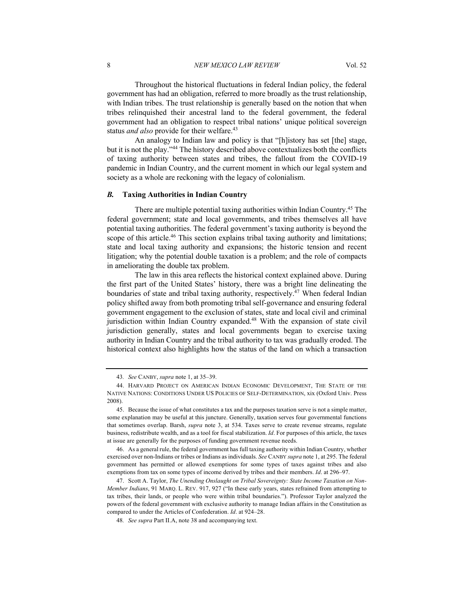8 *NEW MEXICO LAW REVIEW* Vol. 52

Throughout the historical fluctuations in federal Indian policy, the federal government has had an obligation, referred to more broadly as the trust relationship, with Indian tribes. The trust relationship is generally based on the notion that when tribes relinquished their ancestral land to the federal government, the federal government had an obligation to respect tribal nations' unique political sovereign status *and also* provide for their welfare.<sup>43</sup>

An analogy to Indian law and policy is that "[h]istory has set [the] stage, but it is not the play."44 The history described above contextualizes both the conflicts of taxing authority between states and tribes, the fallout from the COVID-19 pandemic in Indian Country, and the current moment in which our legal system and society as a whole are reckoning with the legacy of colonialism.

### *B.* **Taxing Authorities in Indian Country**

There are multiple potential taxing authorities within Indian Country.45 The federal government; state and local governments, and tribes themselves all have potential taxing authorities. The federal government's taxing authority is beyond the scope of this article.<sup>46</sup> This section explains tribal taxing authority and limitations; state and local taxing authority and expansions; the historic tension and recent litigation; why the potential double taxation is a problem; and the role of compacts in ameliorating the double tax problem.

The law in this area reflects the historical context explained above. During the first part of the United States' history, there was a bright line delineating the boundaries of state and tribal taxing authority, respectively.<sup>47</sup> When federal Indian policy shifted away from both promoting tribal self-governance and ensuring federal government engagement to the exclusion of states, state and local civil and criminal jurisdiction within Indian Country expanded.<sup>48</sup> With the expansion of state civil jurisdiction generally, states and local governments began to exercise taxing authority in Indian Country and the tribal authority to tax was gradually eroded. The historical context also highlights how the status of the land on which a transaction

<sup>43</sup>*. See* CANBY, *supra* note 1, at 35–39.

<sup>44.</sup> HARVARD PROJECT ON AMERICAN INDIAN ECONOMIC DEVELOPMENT, THE STATE OF THE NATIVE NATIONS: CONDITIONS UNDER US POLICIES OF SELF-DETERMINATION, xix (Oxford Univ. Press 2008).

<sup>45.</sup> Because the issue of what constitutes a tax and the purposes taxation serve is not a simple matter, some explanation may be useful at this juncture. Generally, taxation serves four governmental functions that sometimes overlap. Barsh, *supra* note 3, at 534. Taxes serve to create revenue streams, regulate business, redistribute wealth, and as a tool for fiscal stabilization. *Id*. For purposes of this article, the taxes at issue are generally for the purposes of funding government revenue needs.

<sup>46.</sup> As a general rule, the federal government has full taxing authority within Indian Country, whether exercised over non-Indians or tribes or Indians as individuals. *See* CANBY *supra* note 1, at 295. The federal government has permitted or allowed exemptions for some types of taxes against tribes and also exemptions from tax on some types of income derived by tribes and their members. *Id*. at 296–97.

<sup>47.</sup> Scott A. Taylor, *The Unending Onslaught on Tribal Sovereignty: State Income Taxation on Non-Member Indians*, 91 MARQ. L. REV. 917, 927 ("In these early years, states refrained from attempting to tax tribes, their lands, or people who were within tribal boundaries."). Professor Taylor analyzed the powers of the federal government with exclusive authority to manage Indian affairs in the Constitution as compared to under the Articles of Confederation. *Id*. at 924–28.

<sup>48</sup>*. See supra* Part II.A, note 38 and accompanying text.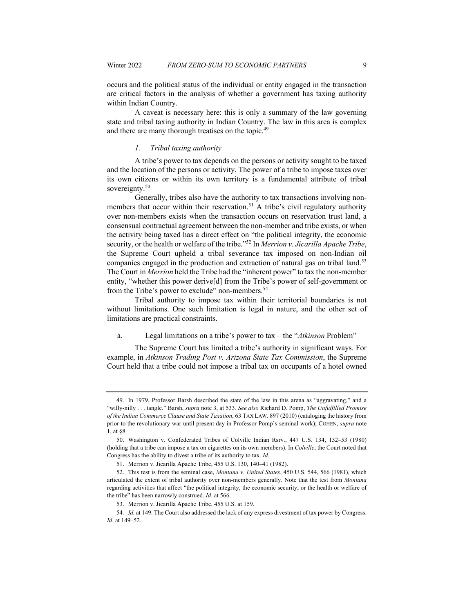occurs and the political status of the individual or entity engaged in the transaction are critical factors in the analysis of whether a government has taxing authority within Indian Country.

A caveat is necessary here: this is only a summary of the law governing state and tribal taxing authority in Indian Country. The law in this area is complex and there are many thorough treatises on the topic.<sup>49</sup>

### *1. Tribal taxing authority*

A tribe's power to tax depends on the persons or activity sought to be taxed and the location of the persons or activity. The power of a tribe to impose taxes over its own citizens or within its own territory is a fundamental attribute of tribal sovereignty.<sup>50</sup>

Generally, tribes also have the authority to tax transactions involving nonmembers that occur within their reservation.<sup>51</sup> A tribe's civil regulatory authority over non-members exists when the transaction occurs on reservation trust land, a consensual contractual agreement between the non-member and tribe exists, or when the activity being taxed has a direct effect on "the political integrity, the economic security, or the health or welfare of the tribe."52 In *Merrion v. Jicarilla Apache Tribe*, the Supreme Court upheld a tribal severance tax imposed on non-Indian oil companies engaged in the production and extraction of natural gas on tribal land.<sup>53</sup> The Court in *Merrion* held the Tribe had the "inherent power" to tax the non-member entity, "whether this power derive[d] from the Tribe's power of self-government or from the Tribe's power to exclude" non-members.<sup>54</sup>

Tribal authority to impose tax within their territorial boundaries is not without limitations. One such limitation is legal in nature, and the other set of limitations are practical constraints.

a. Legal limitations on a tribe's power to tax – the "*Atkinson* Problem"

The Supreme Court has limited a tribe's authority in significant ways. For example, in *Atkinson Trading Post v. Arizona State Tax Commission*, the Supreme Court held that a tribe could not impose a tribal tax on occupants of a hotel owned

<sup>49.</sup> In 1979, Professor Barsh described the state of the law in this arena as "aggravating," and a "willy-nilly . . . tangle." Barsh, *supra* note 3, at 533. *See also* Richard D. Pomp, *The Unfulfilled Promise of the Indian Commerce Clause and State Taxation*, 63 TAX LAW*.* 897 (2010) (cataloging the history from prior to the revolutionary war until present day in Professor Pomp's seminal work); COHEN, *supra* note 1, at §8.

<sup>50.</sup> Washington v. Confederated Tribes of Colville Indian Rsrv., 447 U.S. 134, 152–53 (1980) (holding that a tribe can impose a tax on cigarettes on its own members). In *Colville*, the Court noted that Congress has the ability to divest a tribe of its authority to tax. *Id*.

<sup>51.</sup> Merrion v. Jicarilla Apache Tribe, 455 U.S. 130, 140–41 (1982).

<sup>52.</sup> This test is from the seminal case, *Montana v. United States*, 450 U.S. 544, 566 (1981), which articulated the extent of tribal authority over non-members generally. Note that the test from *Montana*  regarding activities that affect "the political integrity, the economic security, or the health or welfare of the tribe" has been narrowly construed. *Id*. at 566.

<sup>53.</sup> Merrion v. Jicarilla Apache Tribe, 455 U.S. at 159.

<sup>54</sup>*. Id.* at 149. The Court also addressed the lack of any express divestment of tax power by Congress. *Id*. at 149–52.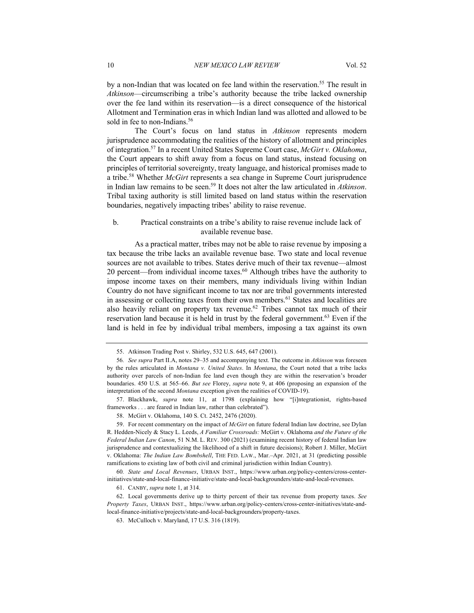by a non-Indian that was located on fee land within the reservation.<sup>55</sup> The result in *Atkinson*—circumscribing a tribe's authority because the tribe lacked ownership over the fee land within its reservation—is a direct consequence of the historical Allotment and Termination eras in which Indian land was allotted and allowed to be sold in fee to non-Indians.<sup>56</sup>

The Court's focus on land status in *Atkinson* represents modern jurisprudence accommodating the realities of the history of allotment and principles of integration.57 In a recent United States Supreme Court case, *McGirt v. Oklahoma*, the Court appears to shift away from a focus on land status, instead focusing on principles of territorial sovereignty, treaty language, and historical promises made to a tribe.58 Whether *McGirt* represents a sea change in Supreme Court jurisprudence in Indian law remains to be seen.59 It does not alter the law articulated in *Atkinson*. Tribal taxing authority is still limited based on land status within the reservation boundaries, negatively impacting tribes' ability to raise revenue.

#### b. Practical constraints on a tribe's ability to raise revenue include lack of available revenue base.

As a practical matter, tribes may not be able to raise revenue by imposing a tax because the tribe lacks an available revenue base. Two state and local revenue sources are not available to tribes. States derive much of their tax revenue—almost 20 percent—from individual income taxes.<sup>60</sup> Although tribes have the authority to impose income taxes on their members, many individuals living within Indian Country do not have significant income to tax nor are tribal governments interested in assessing or collecting taxes from their own members.<sup>61</sup> States and localities are also heavily reliant on property tax revenue.<sup>62</sup> Tribes cannot tax much of their reservation land because it is held in trust by the federal government.<sup>63</sup> Even if the land is held in fee by individual tribal members, imposing a tax against its own

57. Blackhawk, *supra* note 11, at 1798 (explaining how "[i]ntegrationist, rights-based frameworks . . . are feared in Indian law, rather than celebrated").

59. For recent commentary on the impact of *McGirt* on future federal Indian law doctrine, see Dylan R. Hedden-Nicely & Stacy L. Leeds, *A Familiar Crossroads:* McGirt v. Oklahoma *and the Future of the Federal Indian Law Canon*, 51 N.M. L. REV. 300 (2021) (examining recent history of federal Indian law jurisprudence and contextualizing the likelihood of a shift in future decisions); Robert J. Miller, McGirt v. Oklahoma: *The Indian Law Bombshell*, THE FED. LAW., Mar.–Apr. 2021, at 31 (predicting possible ramifications to existing law of both civil and criminal jurisdiction within Indian Country).

<sup>55.</sup> Atkinson Trading Post v. Shirley, 532 U.S. 645, 647 (2001).

<sup>56</sup>*. See supra* Part II.A, notes 29–35 and accompanying text. The outcome in *Atkinson* was foreseen by the rules articulated in *Montana v. United States*. In *Montana*, the Court noted that a tribe lacks authority over parcels of non-Indian fee land even though they are within the reservation's broader boundaries. 450 U.S. at 565–66. *But see* Florey, *supra* note 9, at 406 (proposing an expansion of the interpretation of the second *Montana* exception given the realities of COVID-19).

<sup>58.</sup> McGirt v. Oklahoma, 140 S. Ct. 2452, 2476 (2020).

<sup>60</sup>*. State and Local Revenues*, URBAN INST., https://www.urban.org/policy-centers/cross-centerinitiatives/state-and-local-finance-initiative/state-and-local-backgrounders/state-and-local-revenues.

<sup>61.</sup> CANBY, *supra* note 1, at 314.

<sup>62.</sup> Local governments derive up to thirty percent of their tax revenue from property taxes. *See Property Taxes*, URBAN INST., https://www.urban.org/policy-centers/cross-center-initiatives/state-andlocal-finance-initiative/projects/state-and-local-backgrounders/property-taxes.

<sup>63.</sup> McCulloch v. Maryland, 17 U.S. 316 (1819).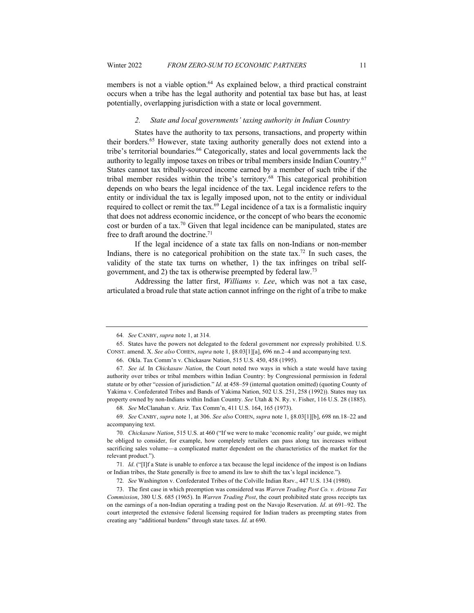members is not a viable option.<sup>64</sup> As explained below, a third practical constraint occurs when a tribe has the legal authority and potential tax base but has, at least potentially, overlapping jurisdiction with a state or local government.

#### *2. State and local governments' taxing authority in Indian Country*

States have the authority to tax persons, transactions, and property within their borders.65 However, state taxing authority generally does not extend into a tribe's territorial boundaries.<sup>66</sup> Categorically, states and local governments lack the authority to legally impose taxes on tribes or tribal members inside Indian Country.67 States cannot tax tribally-sourced income earned by a member of such tribe if the tribal member resides within the tribe's territory.68 This categorical prohibition depends on who bears the legal incidence of the tax. Legal incidence refers to the entity or individual the tax is legally imposed upon, not to the entity or individual required to collect or remit the tax. $69$  Legal incidence of a tax is a formalistic inquiry that does not address economic incidence, or the concept of who bears the economic cost or burden of a tax.70 Given that legal incidence can be manipulated, states are free to draft around the doctrine.<sup>71</sup>

If the legal incidence of a state tax falls on non-Indians or non-member Indians, there is no categorical prohibition on the state tax.<sup>72</sup> In such cases, the validity of the state tax turns on whether, 1) the tax infringes on tribal selfgovernment, and 2) the tax is otherwise preempted by federal law.73

Addressing the latter first, *Williams v. Lee*, which was not a tax case, articulated a broad rule that state action cannot infringe on the right of a tribe to make

<sup>64</sup>*. See* CANBY, *supra* note 1, at 314.

<sup>65.</sup> States have the powers not delegated to the federal government nor expressly prohibited. U.S. CONST. amend. X. *See also* COHEN, *supra* note 1, §8.03[1][a], 696 nn.2–4 and accompanying text.

<sup>66.</sup> Okla. Tax Comm'n v. Chickasaw Nation, 515 U.S. 450, 458 (1995).

<sup>67</sup>*. See id.* In *Chickasaw Nation*, the Court noted two ways in which a state would have taxing authority over tribes or tribal members within Indian Country: by Congressional permission in federal statute or by other "cession of jurisdiction." *Id*. at 458–59 (internal quotation omitted) (quoting County of Yakima v. Confederated Tribes and Bands of Yakima Nation, 502 U.S. 251, 258 (1992)). States may tax property owned by non-Indians within Indian Country. *See* Utah & N. Ry. v. Fisher, 116 U.S. 28 (1885).

<sup>68</sup>*. See* McClanahan v. Ariz. Tax Comm'n, 411 U.S. 164, 165 (1973).

<sup>69</sup>*. See* CANBY, *supra* note 1, at 306. *See also* COHEN, *supra* note 1, §8.03[1][b], 698 nn.18–22 and accompanying text.

<sup>70</sup>*. Chickasaw Nation*, 515 U.S. at 460 ("If we were to make 'economic reality' our guide, we might be obliged to consider, for example, how completely retailers can pass along tax increases without sacrificing sales volume—a complicated matter dependent on the characteristics of the market for the relevant product.").

<sup>71</sup>*. Id*. ("[I]f a State is unable to enforce a tax because the legal incidence of the impost is on Indians or Indian tribes, the State generally is free to amend its law to shift the tax's legal incidence.").

<sup>72</sup>*. See* Washington v. Confederated Tribes of the Colville Indian Rsrv., 447 U.S. 134 (1980).

<sup>73.</sup> The first case in which preemption was considered was *Warren Trading Post Co. v. Arizona Tax Commission*, 380 U.S. 685 (1965). In *Warren Trading Post*, the court prohibited state gross receipts tax on the earnings of a non-Indian operating a trading post on the Navajo Reservation. *Id*. at 691–92. The court interpreted the extensive federal licensing required for Indian traders as preempting states from creating any "additional burdens" through state taxes. *Id*. at 690.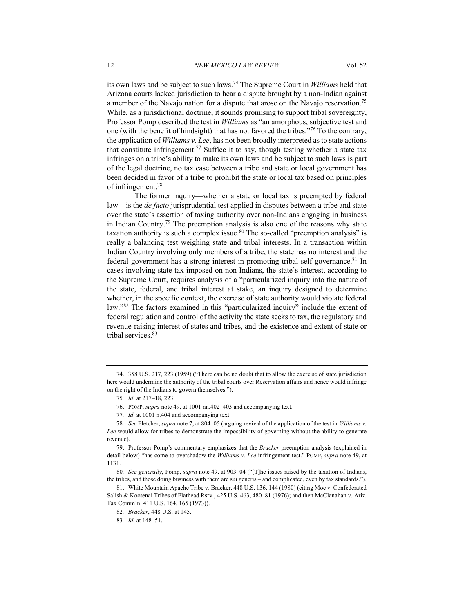its own laws and be subject to such laws.74 The Supreme Court in *Williams* held that Arizona courts lacked jurisdiction to hear a dispute brought by a non-Indian against a member of the Navajo nation for a dispute that arose on the Navajo reservation.75 While, as a jurisdictional doctrine, it sounds promising to support tribal sovereignty, Professor Pomp described the test in *Williams* as "an amorphous, subjective test and one (with the benefit of hindsight) that has not favored the tribes."76 To the contrary, the application of *Williams v. Lee*, has not been broadly interpreted as to state actions that constitute infringement.<sup>77</sup> Suffice it to say, though testing whether a state tax infringes on a tribe's ability to make its own laws and be subject to such laws is part of the legal doctrine, no tax case between a tribe and state or local government has been decided in favor of a tribe to prohibit the state or local tax based on principles of infringement.78

The former inquiry—whether a state or local tax is preempted by federal law—is the *de facto* jurisprudential test applied in disputes between a tribe and state over the state's assertion of taxing authority over non-Indians engaging in business in Indian Country.<sup>79</sup> The preemption analysis is also one of the reasons why state taxation authority is such a complex issue.<sup>80</sup> The so-called "preemption analysis" is really a balancing test weighing state and tribal interests. In a transaction within Indian Country involving only members of a tribe, the state has no interest and the federal government has a strong interest in promoting tribal self-governance.81 In cases involving state tax imposed on non-Indians, the state's interest, according to the Supreme Court, requires analysis of a "particularized inquiry into the nature of the state, federal, and tribal interest at stake, an inquiry designed to determine whether, in the specific context, the exercise of state authority would violate federal law."82 The factors examined in this "particularized inquiry" include the extent of federal regulation and control of the activity the state seeks to tax, the regulatory and revenue-raising interest of states and tribes, and the existence and extent of state or tribal services.83

<sup>74.</sup> 358 U.S. 217, 223 (1959) ("There can be no doubt that to allow the exercise of state jurisdiction here would undermine the authority of the tribal courts over Reservation affairs and hence would infringe on the right of the Indians to govern themselves.").

<sup>75</sup>*. Id*. at 217–18, 223.

<sup>76.</sup> POMP, *supra* note 49, at 1001 nn.402–403 and accompanying text.

<sup>77</sup>*. Id*. at 1001 n.404 and accompanying text.

<sup>78</sup>*. See* Fletcher, *supra* note 7, at 804–05 (arguing revival of the application of the test in *Williams v.*  Lee would allow for tribes to demonstrate the impossibility of governing without the ability to generate revenue).

<sup>79.</sup> Professor Pomp's commentary emphasizes that the *Bracker* preemption analysis (explained in detail below) "has come to overshadow the *Williams v. Lee* infringement test." POMP, *supra* note 49, at 1131.

<sup>80</sup>*. See generally*, Pomp, *supra* note 49, at 903–04 ("[T]he issues raised by the taxation of Indians, the tribes, and those doing business with them are sui generis – and complicated, even by tax standards.").

<sup>81.</sup> White Mountain Apache Tribe v. Bracker, 448 U.S. 136, 144 (1980) (citing Moe v. Confederated Salish & Kootenai Tribes of Flathead Rsrv., 425 U.S. 463, 480–81 (1976); and then McClanahan v. Ariz. Tax Comm'n, 411 U.S. 164, 165 (1973)).

<sup>82</sup>*. Bracker*, 448 U.S. at 145.

<sup>83</sup>*. Id.* at 148–51.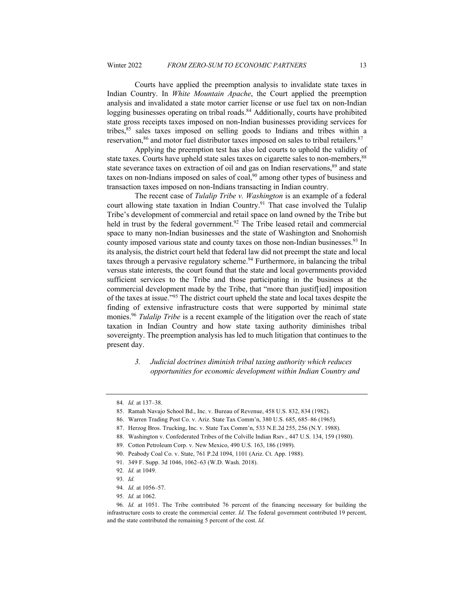Courts have applied the preemption analysis to invalidate state taxes in Indian Country. In *White Mountain Apache*, the Court applied the preemption analysis and invalidated a state motor carrier license or use fuel tax on non-Indian logging businesses operating on tribal roads.<sup>84</sup> Additionally, courts have prohibited state gross receipts taxes imposed on non-Indian businesses providing services for tribes,85 sales taxes imposed on selling goods to Indians and tribes within a reservation,<sup>86</sup> and motor fuel distributor taxes imposed on sales to tribal retailers.<sup>87</sup>

Applying the preemption test has also led courts to uphold the validity of state taxes. Courts have upheld state sales taxes on cigarette sales to non-members,  $88$ state severance taxes on extraction of oil and gas on Indian reservations,<sup>89</sup> and state taxes on non-Indians imposed on sales of coal,<sup>90</sup> among other types of business and transaction taxes imposed on non-Indians transacting in Indian country.

The recent case of *Tulalip Tribe v. Washington* is an example of a federal court allowing state taxation in Indian Country.<sup>91</sup> That case involved the Tulalip Tribe's development of commercial and retail space on land owned by the Tribe but held in trust by the federal government.<sup>92</sup> The Tribe leased retail and commercial space to many non-Indian businesses and the state of Washington and Snohomish county imposed various state and county taxes on those non-Indian businesses.<sup>93</sup> In its analysis, the district court held that federal law did not preempt the state and local taxes through a pervasive regulatory scheme.<sup>94</sup> Furthermore, in balancing the tribal versus state interests, the court found that the state and local governments provided sufficient services to the Tribe and those participating in the business at the commercial development made by the Tribe, that "more than justif[ied] imposition of the taxes at issue."95 The district court upheld the state and local taxes despite the finding of extensive infrastructure costs that were supported by minimal state monies.96 *Tulalip Tribe* is a recent example of the litigation over the reach of state taxation in Indian Country and how state taxing authority diminishes tribal sovereignty. The preemption analysis has led to much litigation that continues to the present day.

> *3. Judicial doctrines diminish tribal taxing authority which reduces opportunities for economic development within Indian Country and*

<sup>84</sup>*. Id.* at 137–38.

<sup>85.</sup> Ramah Navajo School Bd., Inc. v. Bureau of Revenue, 458 U.S. 832, 834 (1982).

<sup>86.</sup> Warren Trading Post Co. v. Ariz. State Tax Comm'n, 380 U.S. 685, 685–86 (1965).

<sup>87.</sup> Herzog Bros. Trucking, Inc. v. State Tax Comm'n, 533 N.E.2d 255, 256 (N.Y. 1988).

<sup>88.</sup> Washington v. Confederated Tribes of the Colville Indian Rsrv., 447 U.S. 134, 159 (1980).

<sup>89.</sup> Cotton Petroleum Corp. v. New Mexico, 490 U.S. 163, 186 (1989).

<sup>90.</sup> Peabody Coal Co. v. State, 761 P.2d 1094, 1101 (Ariz. Ct. App. 1988).

<sup>91.</sup> 349 F. Supp. 3d 1046, 1062–63 (W.D. Wash. 2018).

<sup>92</sup>*. Id.* at 1049.

<sup>93</sup>*. Id.*

<sup>94</sup>*. Id.* at 1056–57.

<sup>95</sup>*. Id.* at 1062.

<sup>96</sup>*. Id.* at 1051. The Tribe contributed 76 percent of the financing necessary for building the infrastructure costs to create the commercial center. *Id.* The federal government contributed 19 percent, and the state contributed the remaining 5 percent of the cost. *Id.*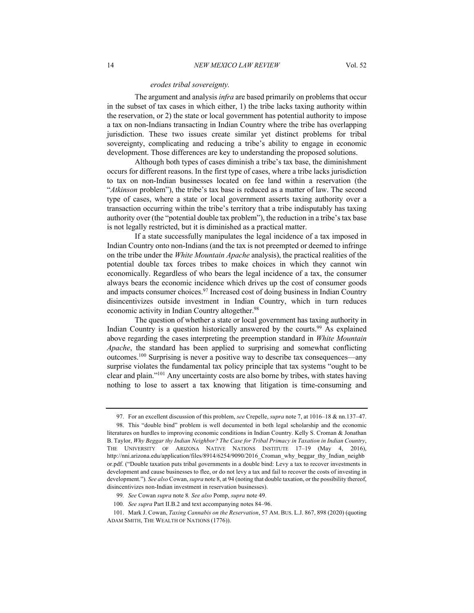#### *erodes tribal sovereignty.*

The argument and analysis *infra* are based primarily on problems that occur in the subset of tax cases in which either, 1) the tribe lacks taxing authority within the reservation, or 2) the state or local government has potential authority to impose a tax on non-Indians transacting in Indian Country where the tribe has overlapping jurisdiction. These two issues create similar yet distinct problems for tribal sovereignty, complicating and reducing a tribe's ability to engage in economic development. Those differences are key to understanding the proposed solutions.

Although both types of cases diminish a tribe's tax base, the diminishment occurs for different reasons. In the first type of cases, where a tribe lacks jurisdiction to tax on non-Indian businesses located on fee land within a reservation (the "*Atkinson* problem"), the tribe's tax base is reduced as a matter of law. The second type of cases, where a state or local government asserts taxing authority over a transaction occurring within the tribe's territory that a tribe indisputably has taxing authority over (the "potential double tax problem"), the reduction in a tribe's tax base is not legally restricted, but it is diminished as a practical matter.

If a state successfully manipulates the legal incidence of a tax imposed in Indian Country onto non-Indians (and the tax is not preempted or deemed to infringe on the tribe under the *White Mountain Apache* analysis), the practical realities of the potential double tax forces tribes to make choices in which they cannot win economically. Regardless of who bears the legal incidence of a tax, the consumer always bears the economic incidence which drives up the cost of consumer goods and impacts consumer choices.<sup>97</sup> Increased cost of doing business in Indian Country disincentivizes outside investment in Indian Country, which in turn reduces economic activity in Indian Country altogether.<sup>98</sup>

The question of whether a state or local government has taxing authority in Indian Country is a question historically answered by the courts.<sup>99</sup> As explained above regarding the cases interpreting the preemption standard in *White Mountain Apache*, the standard has been applied to surprising and somewhat conflicting outcomes.100 Surprising is never a positive way to describe tax consequences—any surprise violates the fundamental tax policy principle that tax systems "ought to be clear and plain."101 Any uncertainty costs are also borne by tribes, with states having nothing to lose to assert a tax knowing that litigation is time-consuming and

<sup>97.</sup> For an excellent discussion of this problem, *see* Crepelle, *supra* note 7, at 1016–18 & nn.137–47.

<sup>98.</sup> This "double bind" problem is well documented in both legal scholarship and the economic literatures on hurdles to improving economic conditions in Indian Country. Kelly S. Croman & Jonathan B. Taylor, *Why Beggar thy Indian Neighbor? The Case for Tribal Primacy in Taxation in Indian Country*, THE UNIVERSITY OF ARIZONA NATIVE NATIONS INSTITUTE 17–19 (May 4, 2016), http://nni.arizona.edu/application/files/8914/6254/9090/2016\_Croman\_why\_beggar\_thy\_Indian\_neighb or.pdf. ("Double taxation puts tribal governments in a double bind: Levy a tax to recover investments in development and cause businesses to flee, or do not levy a tax and fail to recover the costs of investing in development.")*. See also* Cowan, *supra* note 8, at 94 (noting that double taxation, or the possibility thereof, disincentivizes non-Indian investment in reservation businesses).

<sup>99</sup>*. See* Cowan *supra* note 8*. See also* Pomp, *supra* note 49.

<sup>100</sup>*. See supra* Part II.B.2 and text accompanying notes 84–96.

<sup>101.</sup> Mark J. Cowan, *Taxing Cannabis on the Reservation*, 57 AM. BUS. L.J. 867, 898 (2020) (quoting ADAM SMITH, THE WEALTH OF NATIONS (1776)).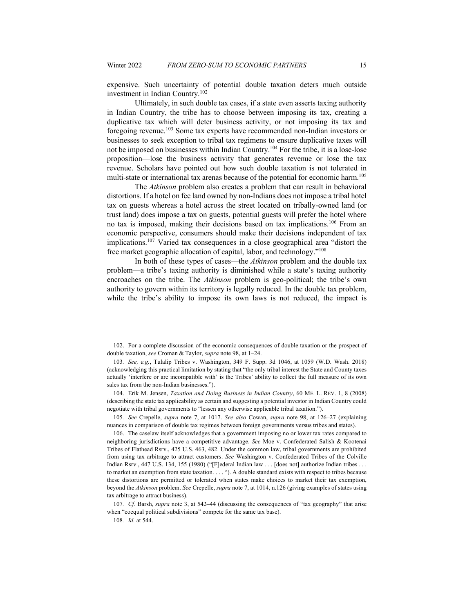expensive. Such uncertainty of potential double taxation deters much outside investment in Indian Country.102

Ultimately, in such double tax cases, if a state even asserts taxing authority in Indian Country, the tribe has to choose between imposing its tax, creating a duplicative tax which will deter business activity, or not imposing its tax and foregoing revenue.103 Some tax experts have recommended non-Indian investors or businesses to seek exception to tribal tax regimens to ensure duplicative taxes will not be imposed on businesses within Indian Country.104 For the tribe, it is a lose-lose proposition—lose the business activity that generates revenue or lose the tax revenue. Scholars have pointed out how such double taxation is not tolerated in multi-state or international tax arenas because of the potential for economic harm.<sup>105</sup>

The *Atkinson* problem also creates a problem that can result in behavioral distortions. If a hotel on fee land owned by non-Indians does not impose a tribal hotel tax on guests whereas a hotel across the street located on tribally-owned land (or trust land) does impose a tax on guests, potential guests will prefer the hotel where no tax is imposed, making their decisions based on tax implications.106 From an economic perspective, consumers should make their decisions independent of tax implications.107 Varied tax consequences in a close geographical area "distort the free market geographic allocation of capital, labor, and technology."108

In both of these types of cases—the *Atkinson* problem and the double tax problem—a tribe's taxing authority is diminished while a state's taxing authority encroaches on the tribe. The *Atkinson* problem is geo-political; the tribe's own authority to govern within its territory is legally reduced. In the double tax problem, while the tribe's ability to impose its own laws is not reduced, the impact is

105*. See* Crepelle, *supra* note 7, at 1017. *See also* Cowan, *supra* note 98, at 126–27 (explaining nuances in comparison of double tax regimes between foreign governments versus tribes and states).

<sup>102.</sup> For a complete discussion of the economic consequences of double taxation or the prospect of double taxation, *see* Croman & Taylor, *supra* note 98, at 1–24.

<sup>103</sup>*. See, e.g.*, Tulalip Tribes v. Washington, 349 F. Supp. 3d 1046, at 1059 (W.D. Wash. 2018) (acknowledging this practical limitation by stating that "the only tribal interest the State and County taxes actually 'interfere or are incompatible with' is the Tribes' ability to collect the full measure of its own sales tax from the non-Indian businesses.").

<sup>104.</sup> Erik M. Jensen, *Taxation and Doing Business in Indian Country*, 60 ME. L. REV. 1, 8 (2008) (describing the state tax applicability as certain and suggesting a potential investor in Indian Country could negotiate with tribal governments to "lessen any otherwise applicable tribal taxation.").

<sup>106.</sup> The caselaw itself acknowledges that a government imposing no or lower tax rates compared to neighboring jurisdictions have a competitive advantage. *See* Moe v. Confederated Salish & Kootenai Tribes of Flathead Rsrv., 425 U.S. 463, 482. Under the common law, tribal governments are prohibited from using tax arbitrage to attract customers. *See* Washington v. Confederated Tribes of the Colville Indian Rsrv., 447 U.S. 134, 155 (1980) ("[F]ederal Indian law . . . [does not] authorize Indian tribes . . . to market an exemption from state taxation. . . . "). A double standard exists with respect to tribes because these distortions are permitted or tolerated when states make choices to market their tax exemption, beyond the *Atkinson* problem. *See* Crepelle, *supra* note 7, at 1014, n.126 (giving examples of states using tax arbitrage to attract business).

<sup>107</sup>*. Cf.* Barsh, *supra* note 3, at 542–44 (discussing the consequences of "tax geography" that arise when "coequal political subdivisions" compete for the same tax base).

<sup>108</sup>*. Id.* at 544.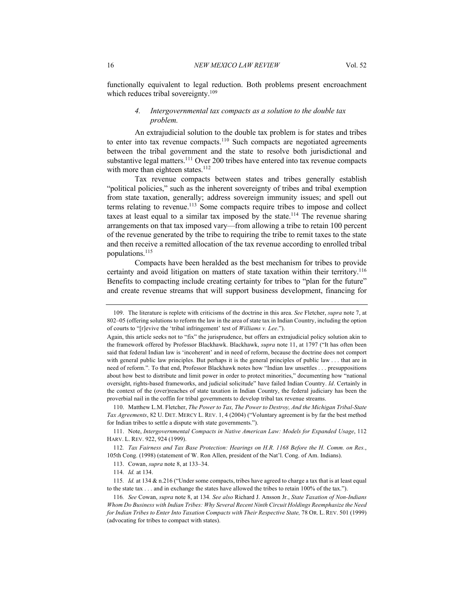functionally equivalent to legal reduction. Both problems present encroachment which reduces tribal sovereignty.<sup>109</sup>

# *4. Intergovernmental tax compacts as a solution to the double tax problem.*

An extrajudicial solution to the double tax problem is for states and tribes to enter into tax revenue compacts.<sup>110</sup> Such compacts are negotiated agreements between the tribal government and the state to resolve both jurisdictional and substantive legal matters.<sup>111</sup> Over 200 tribes have entered into tax revenue compacts with more than eighteen states.<sup>112</sup>

Tax revenue compacts between states and tribes generally establish "political policies," such as the inherent sovereignty of tribes and tribal exemption from state taxation, generally; address sovereign immunity issues; and spell out terms relating to revenue.<sup>113</sup> Some compacts require tribes to impose and collect taxes at least equal to a similar tax imposed by the state.<sup>114</sup> The revenue sharing arrangements on that tax imposed vary—from allowing a tribe to retain 100 percent of the revenue generated by the tribe to requiring the tribe to remit taxes to the state and then receive a remitted allocation of the tax revenue according to enrolled tribal populations.115

Compacts have been heralded as the best mechanism for tribes to provide certainty and avoid litigation on matters of state taxation within their territory.<sup>116</sup> Benefits to compacting include creating certainty for tribes to "plan for the future" and create revenue streams that will support business development, financing for

<sup>109.</sup> The literature is replete with criticisms of the doctrine in this area. *See* Fletcher, *supra* note 7, at 802–05 (offering solutions to reform the law in the area of state tax in Indian Country, including the option of courts to "[r]evive the 'tribal infringement' test of *Williams v. Lee*.").

Again, this article seeks not to "fix" the jurisprudence, but offers an extrajudicial policy solution akin to the framework offered by Professor Blackhawk. Blackhawk, *supra* note 11, at 1797 ("It has often been said that federal Indian law is 'incoherent' and in need of reform, because the doctrine does not comport with general public law principles. But perhaps it is the general principles of public law . . . that are in need of reform.". To that end, Professor Blackhawk notes how "Indian law unsettles . . . presuppositions about how best to distribute and limit power in order to protect minorities," documenting how "national oversight, rights-based frameworks, and judicial solicitude" have failed Indian Country. *Id*. Certainly in the context of the (over)reaches of state taxation in Indian Country, the federal judiciary has been the proverbial nail in the coffin for tribal governments to develop tribal tax revenue streams.

<sup>110.</sup> Matthew L.M. Fletcher, *The Power to Tax, The Power to Destroy, And the Michigan Tribal-State Tax Agreements*, 82 U. DET. MERCY L. REV. 1, 4 (2004) ("Voluntary agreement is by far the best method for Indian tribes to settle a dispute with state governments.").

<sup>111.</sup> Note, *Intergovernmental Compacts in Native American Law: Models for Expanded Usage*, 112 HARV. L. REV. 922, 924 (1999).

<sup>112</sup>*. Tax Fairness and Tax Base Protection: Hearings on H.R. 1168 Before the H. Comm. on Res.*, 105th Cong. (1998) (statement of W. Ron Allen, president of the Nat'l. Cong. of Am. Indians).

<sup>113.</sup> Cowan, *supra* note 8, at 133–34.

<sup>114</sup>*. Id.* at 134.

<sup>115</sup>*. Id.* at 134 & n.216 ("Under some compacts, tribes have agreed to charge a tax that is at least equal to the state tax . . . and in exchange the states have allowed the tribes to retain 100% of the tax.").

<sup>116</sup>*. See* Cowan, *supra* note 8, at 134*. See also* Richard J. Ansson Jr., *State Taxation of Non-Indians Whom Do Business with Indian Tribes: Why Several Recent Ninth Circuit Holdings Reemphasize the Need for Indian Tribes to Enter Into Taxation Compacts with Their Respective State,* 78 OR. L. REV. 501 (1999) (advocating for tribes to compact with states).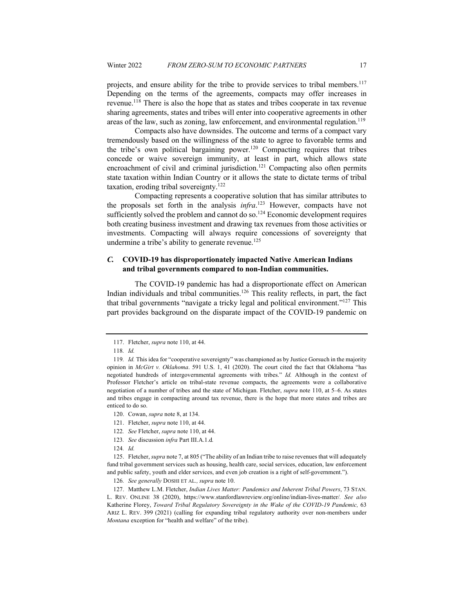projects, and ensure ability for the tribe to provide services to tribal members.<sup>117</sup> Depending on the terms of the agreements, compacts may offer increases in revenue.118 There is also the hope that as states and tribes cooperate in tax revenue sharing agreements, states and tribes will enter into cooperative agreements in other areas of the law, such as zoning, law enforcement, and environmental regulation.<sup>119</sup>

Compacts also have downsides. The outcome and terms of a compact vary tremendously based on the willingness of the state to agree to favorable terms and the tribe's own political bargaining power.<sup>120</sup> Compacting requires that tribes concede or waive sovereign immunity, at least in part, which allows state encroachment of civil and criminal jurisdiction.<sup>121</sup> Compacting also often permits state taxation within Indian Country or it allows the state to dictate terms of tribal taxation, eroding tribal sovereignty.122

Compacting represents a cooperative solution that has similar attributes to the proposals set forth in the analysis *infra*. <sup>123</sup> However, compacts have not sufficiently solved the problem and cannot do so. $124$  Economic development requires both creating business investment and drawing tax revenues from those activities or investments. Compacting will always require concessions of sovereignty that undermine a tribe's ability to generate revenue.<sup>125</sup>

# *C.* **COVID-19 has disproportionately impacted Native American Indians and tribal governments compared to non-Indian communities.**

The COVID-19 pandemic has had a disproportionate effect on American Indian individuals and tribal communities.126 This reality reflects, in part, the fact that tribal governments "navigate a tricky legal and political environment."127 This part provides background on the disparate impact of the COVID-19 pandemic on

- 121. Fletcher, *supra* note 110, at 44.
- 122*. See* Fletcher, *supra* note 110, at 44.
- 123*. See* discussion *infra* Part III.A.1.d*.*

125. Fletcher, *supra* note 7, at 805 ("The ability of an Indian tribe to raise revenues that will adequately fund tribal government services such as housing, health care, social services, education, law enforcement and public safety, youth and elder services, and even job creation is a right of self-government.").

126*. See generally* DOSHI ET AL*., supra* note 10.

127. Matthew L.M. Fletcher, *Indian Lives Matter: Pandemics and Inherent Tribal Powers*, 73 STAN. L. REV. ONLINE 38 (2020), https://www.stanfordlawreview.org/online/indian-lives-matter/*. See also*  Katherine Florey, *Toward Tribal Regulatory Sovereignty in the Wake of the COVID-19 Pandemic,* 63 ARIZ L. REV. 399 (2021) (calling for expanding tribal regulatory authority over non-members under *Montana* exception for "health and welfare" of the tribe).

<sup>117.</sup> Fletcher, *supra* note 110, at 44.

<sup>118</sup>*. Id.*

<sup>119</sup>*. Id.* This idea for "cooperative sovereignty" was championed as by Justice Gorsuch in the majority opinion in *McGirt v. Oklahoma*. 591 U.S. 1, 41 (2020). The court cited the fact that Oklahoma "has negotiated hundreds of intergovernmental agreements with tribes." *Id.* Although in the context of Professor Fletcher's article on tribal-state revenue compacts, the agreements were a collaborative negotiation of a number of tribes and the state of Michigan. Fletcher, *supra* note 110, at 5–6. As states and tribes engage in compacting around tax revenue, there is the hope that more states and tribes are enticed to do so.

<sup>120.</sup> Cowan, *supra* note 8, at 134.

<sup>124</sup>*. Id.*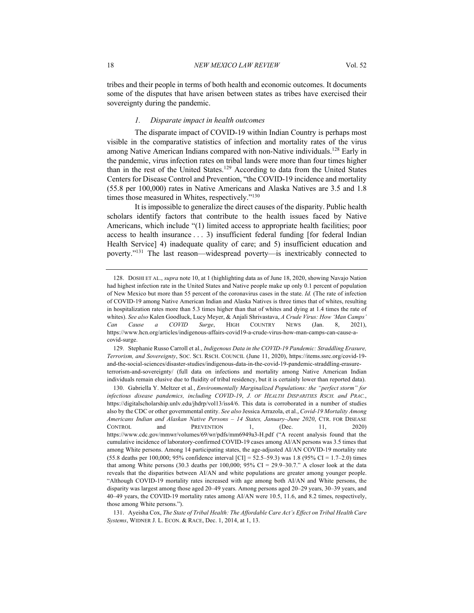tribes and their people in terms of both health and economic outcomes. It documents some of the disputes that have arisen between states as tribes have exercised their sovereignty during the pandemic.

#### *1. Disparate impact in health outcomes*

The disparate impact of COVID-19 within Indian Country is perhaps most visible in the comparative statistics of infection and mortality rates of the virus among Native American Indians compared with non-Native individuals.<sup>128</sup> Early in the pandemic, virus infection rates on tribal lands were more than four times higher than in the rest of the United States.<sup>129</sup> According to data from the United States Centers for Disease Control and Prevention, "the COVID-19 incidence and mortality (55.8 per 100,000) rates in Native Americans and Alaska Natives are 3.5 and 1.8 times those measured in Whites, respectively."<sup>130</sup>

It is impossible to generalize the direct causes of the disparity. Public health scholars identify factors that contribute to the health issues faced by Native Americans, which include "(1) limited access to appropriate health facilities; poor access to health insurance . . . 3) insufficient federal funding [for federal Indian Health Service] 4) inadequate quality of care; and 5) insufficient education and poverty."131 The last reason—widespread poverty—is inextricably connected to

129. Stephanie Russo Carroll et al., *Indigenous Data in the COVID-19 Pandemic: Straddling Erasure, Terrorism, and Sovereignty*, SOC. SCI. RSCH. COUNCIL (June 11, 2020), https://items.ssrc.org/covid-19 and-the-social-sciences/disaster-studies/indigenous-data-in-the-covid-19-pandemic-straddling-erasureterrorism-and-sovereignty/ (full data on infections and mortality among Native American Indian individuals remain elusive due to fluidity of tribal residency, but it is certainly lower than reported data).

<sup>128.</sup> DOSHI ET AL., *supra* note 10, at 1 (highlighting data as of June 18, 2020, showing Navajo Nation had highest infection rate in the United States and Native people make up only 0.1 percent of population of New Mexico but more than 55 percent of the coronavirus cases in the state. *Id.* (The rate of infection of COVID-19 among Native American Indian and Alaska Natives is three times that of whites, resulting in hospitalization rates more than 5.3 times higher than that of whites and dying at 1.4 times the rate of whites). *See also* Kalen Goodluck, Lucy Meyer, & Anjali Shrivastava, *A Crude Virus: How 'Man Camps' Can Cause a COVID Surge*, HIGH COUNTRY NEWS (Jan. 8, 2021), https://www.hcn.org/articles/indigenous-affairs-covid19-a-crude-virus-how-man-camps-can-cause-acovid-surge.

<sup>130.</sup> Gabriella Y. Meltzer et al., *Environmentally Marginalized Populations: the "perfect storm" for infectious disease pandemics, including COVID-19*, *J. OF HEALTH DISPARITIES RSCH. and PRAC.*, https://digitalscholarship.unlv.edu/jhdrp/vol13/iss4/6. This data is corroborated in a number of studies also by the CDC or other governmental entity. *See also* Jessica Arrazola, et al., *Covid-19 Mortality Among Americans Indian and Alaskan Native Persons – 14 States, January–June 2020*, CTR. FOR DISEASE CONTROL and PREVENTION 1, (Dec. 11, 2020) https://www.cdc.gov/mmwr/volumes/69/wr/pdfs/mm6949a3-H.pdf ("A recent analysis found that the cumulative incidence of laboratory-confirmed COVID-19 cases among AI/AN persons was 3.5 times that among White persons. Among 14 participating states, the age-adjusted AI/AN COVID-19 mortality rate (55.8 deaths per 100,000; 95% confidence interval  $|CI| = 52.5-59.3$ ) was 1.8 (95% CI = 1.7–2.0) times that among White persons (30.3 deaths per 100,000; 95% CI = 29.9–30.7." A closer look at the data reveals that the disparities between AI/AN and white populations are greater among younger people. "Although COVID-19 mortality rates increased with age among both AI/AN and White persons, the disparity was largest among those aged 20–49 years. Among persons aged 20–29 years, 30–39 years, and 40–49 years, the COVID-19 mortality rates among AI/AN were 10.5, 11.6, and 8.2 times, respectively, those among White persons.").

<sup>131.</sup> Ayeisha Cox, *The State of Tribal Health: The Affordable Care Act's Effect on Tribal Health Care Systems*, WIDNER J. L. ECON. & RACE, Dec. 1, 2014, at 1, 13.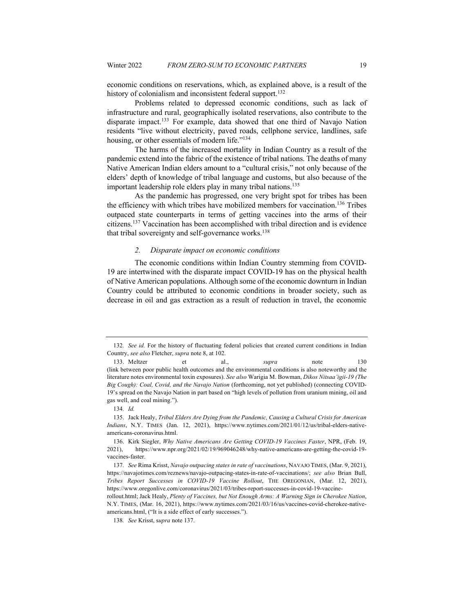economic conditions on reservations, which, as explained above, is a result of the history of colonialism and inconsistent federal support.<sup>132</sup>

Problems related to depressed economic conditions, such as lack of infrastructure and rural, geographically isolated reservations, also contribute to the disparate impact.133 For example, data showed that one third of Navajo Nation residents "live without electricity, paved roads, cellphone service, landlines, safe housing, or other essentials of modern life."<sup>134</sup>

The harms of the increased mortality in Indian Country as a result of the pandemic extend into the fabric of the existence of tribal nations. The deaths of many Native American Indian elders amount to a "cultural crisis," not only because of the elders' depth of knowledge of tribal language and customs, but also because of the important leadership role elders play in many tribal nations.<sup>135</sup>

As the pandemic has progressed, one very bright spot for tribes has been the efficiency with which tribes have mobilized members for vaccination.136 Tribes outpaced state counterparts in terms of getting vaccines into the arms of their citizens.137 Vaccination has been accomplished with tribal direction and is evidence that tribal sovereignty and self-governance works.<sup>138</sup>

#### *2. Disparate impact on economic conditions*

The economic conditions within Indian Country stemming from COVID-19 are intertwined with the disparate impact COVID-19 has on the physical health of Native American populations. Although some of the economic downturn in Indian Country could be attributed to economic conditions in broader society, such as decrease in oil and gas extraction as a result of reduction in travel, the economic

<sup>132</sup>*. See id.* For the history of fluctuating federal policies that created current conditions in Indian Country, *see also* Fletcher, *supra* note 8, at 102.

<sup>133.</sup> Meltzer et al., *supra* note 130 (link between poor public health outcomes and the environmental conditions is also noteworthy and the literature notes environmental toxin exposures). *See also* Warigia M. Bowman, *Dikos Nitsaa'igii-19 (The Big Cough): Coal, Covid, and the Navajo Nation* (forthcoming, not yet published) (connecting COVID-19's spread on the Navajo Nation in part based on "high levels of pollution from uranium mining, oil and gas well, and coal mining.").

<sup>134</sup>*. Id.*

<sup>135.</sup> Jack Healy, *Tribal Elders Are Dying from the Pandemic, Causing a Cultural Crisis for American Indians*, N.Y. TIMES (Jan. 12, 2021), https://www.nytimes.com/2021/01/12/us/tribal-elders-nativeamericans-coronavirus.html.

<sup>136.</sup> Kirk Siegler, *Why Native Americans Are Getting COVID-19 Vaccines Faster*, NPR, (Feb. 19, 2021), https://www.npr.org/2021/02/19/969046248/why-native-americans-are-getting-the-covid-19 vaccines-faster.

<sup>137</sup>*. See* Rima Krisst, *Navajo outpacing states in rate of vaccinations*, NAVAJO TIMES, (Mar. 9, 2021), https://navajotimes.com/reznews/navajo-outpacing-states-in-rate-of-vaccinations/; *see also* Brian Bull, *Tribes Report Successes in COVID-19 Vaccine Rollout*, THE OREGONIAN, (Mar. 12, 2021), https://www.oregonlive.com/coronavirus/2021/03/tribes-report-successes-in-covid-19-vaccine-

rollout.html; Jack Healy, *Plenty of Vaccines, but Not Enough Arms: A Warning Sign in Cherokee Nation*, N.Y. TIMES, (Mar. 16, 2021), https://www.nytimes.com/2021/03/16/us/vaccines-covid-cherokee-nativeamericans.html, ("It is a side effect of early successes.").

<sup>138</sup>*. See* Krisst, s*upra* note 137.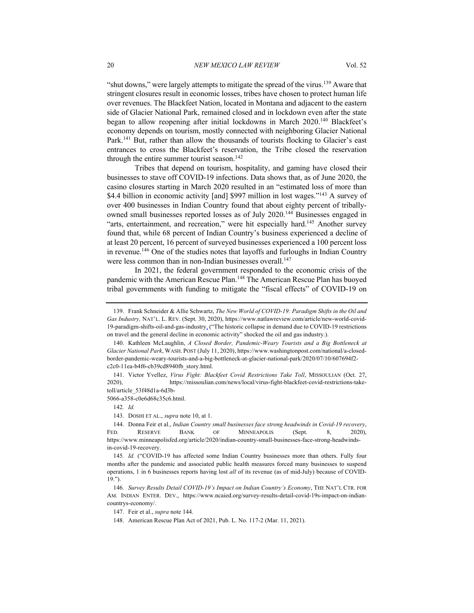"shut downs," were largely attempts to mitigate the spread of the virus.<sup>139</sup> Aware that stringent closures result in economic losses, tribes have chosen to protect human life over revenues. The Blackfeet Nation, located in Montana and adjacent to the eastern side of Glacier National Park, remained closed and in lockdown even after the state began to allow reopening after initial lockdowns in March 2020.140 Blackfeet's economy depends on tourism, mostly connected with neighboring Glacier National Park.<sup>141</sup> But, rather than allow the thousands of tourists flocking to Glacier's east entrances to cross the Blackfeet's reservation, the Tribe closed the reservation through the entire summer tourist season.<sup>142</sup>

Tribes that depend on tourism, hospitality, and gaming have closed their businesses to stave off COVID-19 infections. Data shows that, as of June 2020, the casino closures starting in March 2020 resulted in an "estimated loss of more than \$4.4 billion in economic activity [and] \$997 million in lost wages."<sup>143</sup> A survey of over 400 businesses in Indian Country found that about eighty percent of triballyowned small businesses reported losses as of July 2020.144 Businesses engaged in "arts, entertainment, and recreation," were hit especially hard.<sup>145</sup> Another survey found that, while 68 percent of Indian Country's business experienced a decline of at least 20 percent, 16 percent of surveyed businesses experienced a 100 percent loss in revenue.146 One of the studies notes that layoffs and furloughs in Indian Country were less common than in non-Indian businesses overall.<sup>147</sup>

In 2021, the federal government responded to the economic crisis of the pandemic with the American Rescue Plan.148 The American Rescue Plan has buoyed tribal governments with funding to mitigate the "fiscal effects" of COVID-19 on

<sup>139.</sup> Frank Schneider & Allie Schwartz, *The New World of COVID-19: Paradigm Shifts in the Oil and Gas Industry,* NAT'L. L. REV. (Sept. 30, 2020), https://www.natlawreview.com/article/new-world-covid-19-paradigm-shifts-oil-and-gas-industry, ("The historic collapse in demand due to COVID-19 restrictions on travel and the general decline in economic activity" shocked the oil and gas industry.).

<sup>140.</sup> Kathleen McLaughlin, *A Closed Border, Pandemic-Weary Tourists and a Big Bottleneck at Glacier National Park*, WASH. POST (July 11, 2020), https://www.washingtonpost.com/national/a-closedborder-pandemic-weary-tourists-and-a-big-bottleneck-at-glacier-national-park/2020/07/10/607694f2 c2c0-11ea-b4f6-cb39cd8940fb\_story.html.

<sup>141.</sup> Victor Yvellez, *Virus Fight: Blackfeet Covid Restrictions Take Toll*, MISSOULIAN (Oct. 27, 2020), https://missoulian.com/news/local/virus-fight-blackfeet-covid-restrictions-taketoll/article\_53f48d1a-6d3b-

<sup>5066-</sup>a358-c0e6d68c35c6.html.

<sup>142</sup>*. Id.*

<sup>143.</sup> DOSHI ET AL., *supra* note 10, at 1.

<sup>144.</sup> Donna Feir et al., *Indian Country small businesses face strong headwinds in Covid-19 recovery*, FED. RESERVE BANK OF MINNEAPOLIS (Sept. 8, 2020), https://www.minneapolisfed.org/article/2020/indian-country-small-businesses-face-strong-headwindsin-covid-19-recovery.

<sup>145</sup>*. Id.* ("COVID-19 has affected some Indian Country businesses more than others. Fully four months after the pandemic and associated public health measures forced many businesses to suspend operations, 1 in 6 businesses reports having lost *all* of its revenue (as of mid-July) because of COVID-19.").

<sup>146</sup>*. Survey Results Detail COVID-19's Impact on Indian Country's Economy*, THE NAT'L CTR. FOR AM. INDIAN ENTER. DEV., https://www.ncaied.org/survey-results-detail-covid-19s-impact-on-indiancountrys-economy/.

<sup>147.</sup> Feir et al., *supra* note 144.

<sup>148.</sup> American Rescue Plan Act of 2021, Pub. L. No. 117-2 (Mar. 11, 2021).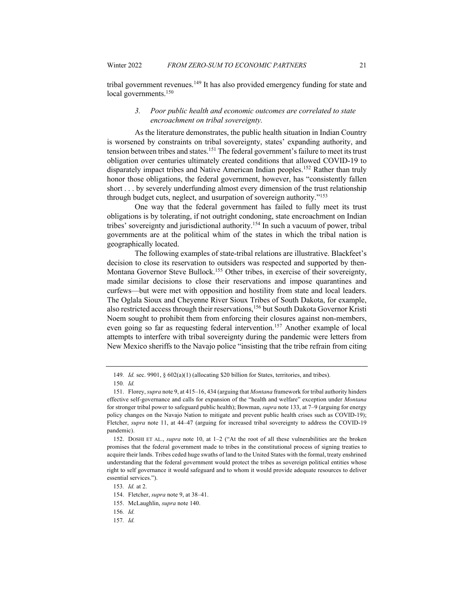tribal government revenues.<sup>149</sup> It has also provided emergency funding for state and local governments.<sup>150</sup>

#### *3. Poor public health and economic outcomes are correlated to state encroachment on tribal sovereignty.*

As the literature demonstrates, the public health situation in Indian Country is worsened by constraints on tribal sovereignty, states' expanding authority, and tension between tribes and states.<sup>151</sup> The federal government's failure to meet its trust obligation over centuries ultimately created conditions that allowed COVID-19 to disparately impact tribes and Native American Indian peoples.<sup>152</sup> Rather than truly honor those obligations, the federal government, however, has "consistently fallen short . . . by severely underfunding almost every dimension of the trust relationship through budget cuts, neglect, and usurpation of sovereign authority."153

One way that the federal government has failed to fully meet its trust obligations is by tolerating, if not outright condoning, state encroachment on Indian tribes' sovereignty and jurisdictional authority.<sup>154</sup> In such a vacuum of power, tribal governments are at the political whim of the states in which the tribal nation is geographically located.

The following examples of state-tribal relations are illustrative. Blackfeet's decision to close its reservation to outsiders was respected and supported by then-Montana Governor Steve Bullock.<sup>155</sup> Other tribes, in exercise of their sovereignty, made similar decisions to close their reservations and impose quarantines and curfews—but were met with opposition and hostility from state and local leaders. The Oglala Sioux and Cheyenne River Sioux Tribes of South Dakota, for example, also restricted access through their reservations,<sup>156</sup> but South Dakota Governor Kristi Noem sought to prohibit them from enforcing their closures against non-members, even going so far as requesting federal intervention.<sup>157</sup> Another example of local attempts to interfere with tribal sovereignty during the pandemic were letters from New Mexico sheriffs to the Navajo police "insisting that the tribe refrain from citing

<sup>149</sup>*. Id.* sec. 9901, § 602(a)(1) (allocating \$20 billion for States, territories, and tribes).

<sup>150</sup>*. Id.*

<sup>151.</sup> Florey, *supra* note 9, at 415–16, 434 (arguing that *Montana* framework for tribal authority hinders effective self-governance and calls for expansion of the "health and welfare" exception under *Montana*  for stronger tribal power to safeguard public health); Bowman, *supra* note 133, at 7–9 (arguing for energy policy changes on the Navajo Nation to mitigate and prevent public health crises such as COVID-19); Fletcher, *supra* note 11, at 44–47 (arguing for increased tribal sovereignty to address the COVID-19 pandemic).

<sup>152.</sup> DOSHI ET AL., *supra* note 10, at 1–2 ("At the root of all these vulnerabilities are the broken promises that the federal government made to tribes in the constitutional process of signing treaties to acquire their lands. Tribes ceded huge swaths of land to the United States with the formal, treaty enshrined understanding that the federal government would protect the tribes as sovereign political entities whose right to self governance it would safeguard and to whom it would provide adequate resources to deliver essential services.").

<sup>153</sup>*. Id.* at 2.

<sup>154.</sup> Fletcher, *supra* note 9, at 38–41.

<sup>155.</sup> McLaughlin, *supra* note 140.

<sup>156</sup>*. Id.*

<sup>157</sup>*. Id.*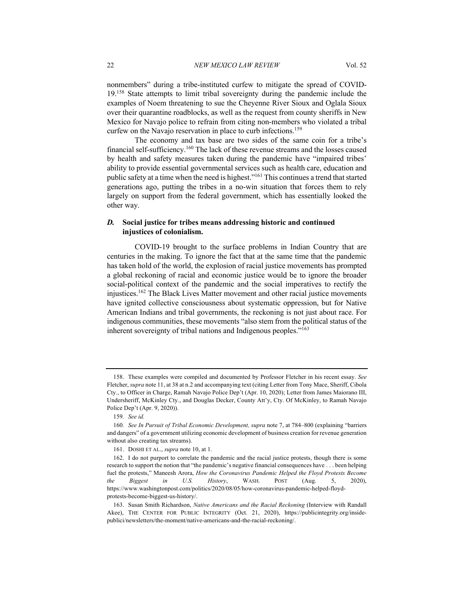nonmembers" during a tribe-instituted curfew to mitigate the spread of COVID-19.158 State attempts to limit tribal sovereignty during the pandemic include the examples of Noem threatening to sue the Cheyenne River Sioux and Oglala Sioux over their quarantine roadblocks, as well as the request from county sheriffs in New Mexico for Navajo police to refrain from citing non-members who violated a tribal curfew on the Navajo reservation in place to curb infections.159

The economy and tax base are two sides of the same coin for a tribe's financial self-sufficiency.160 The lack of these revenue streams and the losses caused by health and safety measures taken during the pandemic have "impaired tribes' ability to provide essential governmental services such as health care, education and public safety at a time when the need is highest."161 This continues a trend that started generations ago, putting the tribes in a no-win situation that forces them to rely largely on support from the federal government, which has essentially looked the other way.

# *D.* **Social justice for tribes means addressing historic and continued injustices of colonialism.**

COVID-19 brought to the surface problems in Indian Country that are centuries in the making. To ignore the fact that at the same time that the pandemic has taken hold of the world, the explosion of racial justice movements has prompted a global reckoning of racial and economic justice would be to ignore the broader social-political context of the pandemic and the social imperatives to rectify the injustices.162 The Black Lives Matter movement and other racial justice movements have ignited collective consciousness about systematic oppression, but for Native American Indians and tribal governments, the reckoning is not just about race. For indigenous communities, these movements "also stem from the political status of the inherent sovereignty of tribal nations and Indigenous peoples."163

<sup>158.</sup> These examples were compiled and documented by Professor Fletcher in his recent essay. *See*  Fletcher, *supra* note 11, at 38 at n.2 and accompanying text (citing Letter from Tony Mace, Sheriff, Cibola Cty., to Officer in Charge, Ramah Navajo Police Dep't (Apr. 10, 2020); Letter from James Maiorano III, Undersheriff, McKinley Cty., and Douglas Decker, County Att'y, Cty. Of McKinley, to Ramah Navajo Police Dep't (Apr. 9, 2020)).

<sup>159</sup>*. See id.*

<sup>160</sup>*. See In Pursuit of Tribal Economic Development, supra* note 7, at 784–800 (explaining "barriers and dangers" of a government utilizing economic development of business creation for revenue generation without also creating tax streams).

<sup>161.</sup> DOSHI ET AL., *supra* note 10, at 1.

<sup>162.</sup> I do not purport to correlate the pandemic and the racial justice protests, though there is some research to support the notion that "the pandemic's negative financial consequences have . . . been helping fuel the protests," Maneesh Arora, *How the Coronavirus Pandemic Helped the Floyd Protests Become the Biggest in U.S. History*, WASH. POST (Aug. 5, 2020), https://www.washingtonpost.com/politics/2020/08/05/how-coronavirus-pandemic-helped-floydprotests-become-biggest-us-history/.

<sup>163.</sup> Susan Smith Richardson, *Native Americans and the Racial Reckoning* (Interview with Randall Akee), THE CENTER FOR PUBLIC INTEGRITY (Oct. 21, 2020), https://publicintegrity.org/insidepublici/newsletters/the-moment/native-americans-and-the-racial-reckoning/.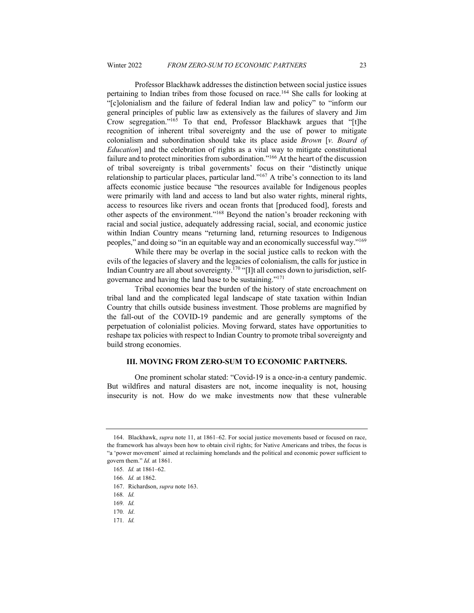Professor Blackhawk addresses the distinction between social justice issues pertaining to Indian tribes from those focused on race.164 She calls for looking at "[c]olonialism and the failure of federal Indian law and policy" to "inform our general principles of public law as extensively as the failures of slavery and Jim Crow segregation."165 To that end, Professor Blackhawk argues that "[t]he recognition of inherent tribal sovereignty and the use of power to mitigate colonialism and subordination should take its place aside *Brown* [*v. Board of Education*] and the celebration of rights as a vital way to mitigate constitutional failure and to protect minorities from subordination."<sup>166</sup> At the heart of the discussion of tribal sovereignty is tribal governments' focus on their "distinctly unique relationship to particular places, particular land."167 A tribe's connection to its land affects economic justice because "the resources available for Indigenous peoples were primarily with land and access to land but also water rights, mineral rights, access to resources like rivers and ocean fronts that [produced food], forests and other aspects of the environment."168 Beyond the nation's broader reckoning with racial and social justice, adequately addressing racial, social, and economic justice within Indian Country means "returning land, returning resources to Indigenous peoples," and doing so "in an equitable way and an economically successful way."169

While there may be overlap in the social justice calls to reckon with the evils of the legacies of slavery and the legacies of colonialism, the calls for justice in Indian Country are all about sovereignty.170 "[I]t all comes down to jurisdiction, selfgovernance and having the land base to be sustaining."171

Tribal economies bear the burden of the history of state encroachment on tribal land and the complicated legal landscape of state taxation within Indian Country that chills outside business investment. Those problems are magnified by the fall-out of the COVID-19 pandemic and are generally symptoms of the perpetuation of colonialist policies. Moving forward, states have opportunities to reshape tax policies with respect to Indian Country to promote tribal sovereignty and build strong economies.

# **III. MOVING FROM ZERO-SUM TO ECONOMIC PARTNERS.**

One prominent scholar stated: "Covid-19 is a once-in-a century pandemic. But wildfires and natural disasters are not, income inequality is not, housing insecurity is not. How do we make investments now that these vulnerable

171*. Id.*

<sup>164.</sup> Blackhawk, *supra* note 11, at 1861–62. For social justice movements based or focused on race, the framework has always been how to obtain civil rights; for Native Americans and tribes, the focus is "a 'power movement' aimed at reclaiming homelands and the political and economic power sufficient to govern them." *Id.* at 1861.

<sup>165</sup>*. Id.* at 1861–62.

<sup>166</sup>*. Id.* at 1862.

<sup>167.</sup> Richardson, *supra* note 163.

<sup>168</sup>*. Id.*

<sup>169</sup>*. Id.*

<sup>170</sup>*. Id*.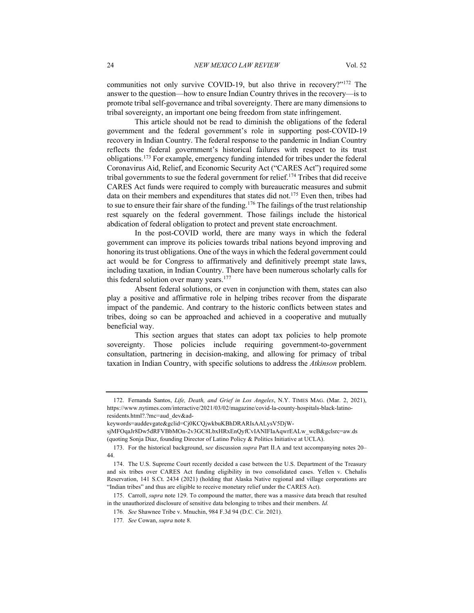communities not only survive COVID-19, but also thrive in recovery?"172 The answer to the question—how to ensure Indian Country thrives in the recovery—is to promote tribal self-governance and tribal sovereignty. There are many dimensions to tribal sovereignty, an important one being freedom from state infringement.

This article should not be read to diminish the obligations of the federal government and the federal government's role in supporting post-COVID-19 recovery in Indian Country. The federal response to the pandemic in Indian Country reflects the federal government's historical failures with respect to its trust obligations.173 For example, emergency funding intended for tribes under the federal Coronavirus Aid, Relief, and Economic Security Act ("CARES Act") required some tribal governments to sue the federal government for relief.<sup>174</sup> Tribes that did receive CARES Act funds were required to comply with bureaucratic measures and submit data on their members and expenditures that states did not.175 Even then, tribes had to sue to ensure their fair share of the funding.<sup>176</sup> The failings of the trust relationship rest squarely on the federal government. Those failings include the historical abdication of federal obligation to protect and prevent state encroachment.

In the post-COVID world, there are many ways in which the federal government can improve its policies towards tribal nations beyond improving and honoring its trust obligations. One of the ways in which the federal government could act would be for Congress to affirmatively and definitively preempt state laws, including taxation, in Indian Country. There have been numerous scholarly calls for this federal solution over many years.<sup>177</sup>

Absent federal solutions, or even in conjunction with them, states can also play a positive and affirmative role in helping tribes recover from the disparate impact of the pandemic. And contrary to the historic conflicts between states and tribes, doing so can be approached and achieved in a cooperative and mutually beneficial way.

This section argues that states can adopt tax policies to help promote sovereignty. Those policies include requiring government-to-government consultation, partnering in decision-making, and allowing for primacy of tribal taxation in Indian Country, with specific solutions to address the *Atkinson* problem.

<sup>172.</sup> Fernanda Santos, *Life, Death, and Grief in Los Angeles*, N.Y. TIMES MAG. (Mar. 2, 2021), https://www.nytimes.com/interactive/2021/03/02/magazine/covid-la-county-hospitals-black-latinoresidents.html?.?mc=aud\_dev&ad-

keywords=auddevgate&gclid=Cj0KCQjwkbuKBhDRARIsAALysV5DjW-

sjMFOqaJr8Dw5dRFVBbMOn-2v3GC8LbxHRxEnQyfCvIANIFIaAqwrEALw\_wcB&gclsrc=aw.ds (quoting Sonja Diaz, founding Director of Latino Policy & Politics Initiative at UCLA).

<sup>173.</sup> For the historical background, s*ee* discussion *supra* Part II.A and text accompanying notes 20– 44.

<sup>174.</sup> The U.S. Supreme Court recently decided a case between the U.S. Department of the Treasury and six tribes over CARES Act funding eligibility in two consolidated cases. Yellen v. Chehalis Reservation, 141 S.Ct. 2434 (2021) (holding that Alaska Native regional and village corporations are "Indian tribes" and thus are eligible to receive monetary relief under the CARES Act).

<sup>175.</sup> Carroll, *supra* note 129. To compound the matter, there was a massive data breach that resulted in the unauthorized disclosure of sensitive data belonging to tribes and their members. *Id.*

<sup>176</sup>*. See* Shawnee Tribe v. Mnuchin, 984 F.3d 94 (D.C. Cir. 2021).

<sup>177</sup>*. See* Cowan, *supra* note 8.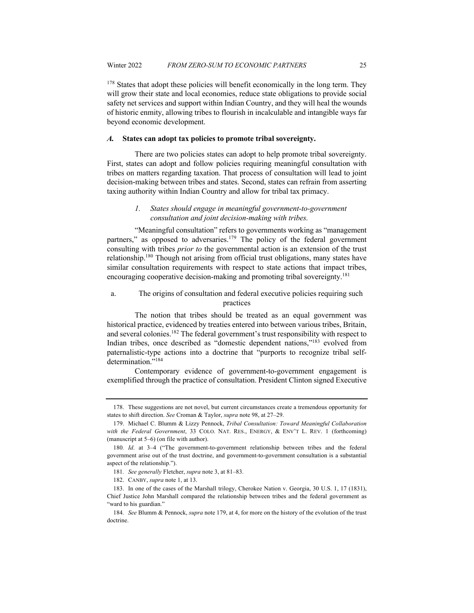<sup>178</sup> States that adopt these policies will benefit economically in the long term. They will grow their state and local economies, reduce state obligations to provide social safety net services and support within Indian Country, and they will heal the wounds of historic enmity, allowing tribes to flourish in incalculable and intangible ways far beyond economic development.

#### *A.* **States can adopt tax policies to promote tribal sovereignty.**

There are two policies states can adopt to help promote tribal sovereignty. First, states can adopt and follow policies requiring meaningful consultation with tribes on matters regarding taxation. That process of consultation will lead to joint decision-making between tribes and states. Second, states can refrain from asserting taxing authority within Indian Country and allow for tribal tax primacy.

# *1. States should engage in meaningful government-to-government consultation and joint decision-making with tribes.*

"Meaningful consultation" refers to governments working as "management partners," as opposed to adversaries.<sup>179</sup> The policy of the federal government consulting with tribes *prior to* the governmental action is an extension of the trust relationship.180 Though not arising from official trust obligations, many states have similar consultation requirements with respect to state actions that impact tribes, encouraging cooperative decision-making and promoting tribal sovereignty.<sup>181</sup>

# a. The origins of consultation and federal executive policies requiring such practices

The notion that tribes should be treated as an equal government was historical practice, evidenced by treaties entered into between various tribes, Britain, and several colonies.182 The federal government's trust responsibility with respect to Indian tribes, once described as "domestic dependent nations,"183 evolved from paternalistic-type actions into a doctrine that "purports to recognize tribal selfdetermination."<sup>184</sup>

Contemporary evidence of government-to-government engagement is exemplified through the practice of consultation. President Clinton signed Executive

<sup>178.</sup> These suggestions are not novel, but current circumstances create a tremendous opportunity for states to shift direction. *See* Croman & Taylor, *supra* note 98, at 27–29.

<sup>179.</sup> Michael C. Blumm & Lizzy Pennock, *Tribal Consultation: Toward Meaningful Collaboration with the Federal Government*, 33 COLO. NAT. RES., ENERGY, & ENV'T L. REV. 1 (forthcoming) (manuscript at 5–6) (on file with author).

<sup>180</sup>*. Id*. at 3–4 ("The government-to-government relationship between tribes and the federal government arise out of the trust doctrine, and government-to-government consultation is a substantial aspect of the relationship.").

<sup>181</sup>*. See generally* Fletcher, *supra* note 3, at 81–83.

<sup>182.</sup> CANBY, *supra* note 1, at 13.

<sup>183.</sup> In one of the cases of the Marshall trilogy, Cherokee Nation v. Georgia, 30 U.S. 1, 17 (1831), Chief Justice John Marshall compared the relationship between tribes and the federal government as "ward to his guardian."

<sup>184</sup>*. See* Blumm & Pennock, *supra* note 179, at 4, for more on the history of the evolution of the trust doctrine.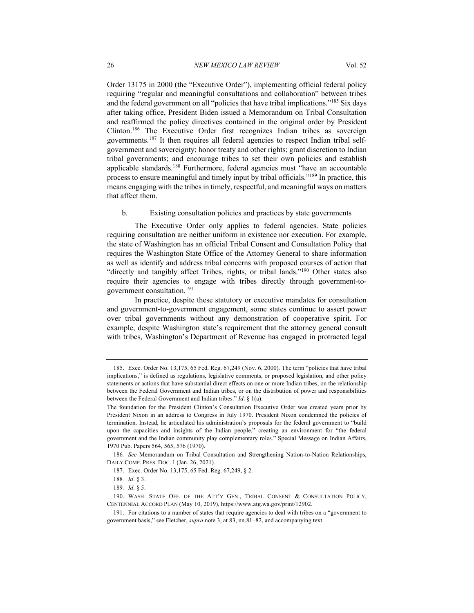Order 13175 in 2000 (the "Executive Order"), implementing official federal policy requiring "regular and meaningful consultations and collaboration" between tribes and the federal government on all "policies that have tribal implications."185 Six days after taking office, President Biden issued a Memorandum on Tribal Consultation and reaffirmed the policy directives contained in the original order by President Clinton.186 The Executive Order first recognizes Indian tribes as sovereign governments.187 It then requires all federal agencies to respect Indian tribal selfgovernment and sovereignty; honor treaty and other rights; grant discretion to Indian tribal governments; and encourage tribes to set their own policies and establish applicable standards.188 Furthermore, federal agencies must "have an accountable process to ensure meaningful and timely input by tribal officials."189 In practice, this means engaging with the tribes in timely, respectful, and meaningful ways on matters that affect them.

#### b. Existing consultation policies and practices by state governments

The Executive Order only applies to federal agencies. State policies requiring consultation are neither uniform in existence nor execution. For example, the state of Washington has an official Tribal Consent and Consultation Policy that requires the Washington State Office of the Attorney General to share information as well as identify and address tribal concerns with proposed courses of action that "directly and tangibly affect Tribes, rights, or tribal lands."<sup>190</sup> Other states also require their agencies to engage with tribes directly through government-togovernment consultation.191

In practice, despite these statutory or executive mandates for consultation and government-to-government engagement, some states continue to assert power over tribal governments without any demonstration of cooperative spirit. For example, despite Washington state's requirement that the attorney general consult with tribes, Washington's Department of Revenue has engaged in protracted legal

186*. See* Memorandum on Tribal Consultation and Strengthening Nation-to-Nation Relationships, DAILY COMP. PRES. DOC. 1 (Jan. 26, 2021).

<sup>185.</sup> Exec. Order No. 13,175, 65 Fed. Reg. 67,249 (Nov. 6, 2000). The term "policies that have tribal implications," is defined as regulations, legislative comments, or proposed legislation, and other policy statements or actions that have substantial direct effects on one or more Indian tribes, on the relationship between the Federal Government and Indian tribes, or on the distribution of power and responsibilities between the Federal Government and Indian tribes." *Id*. § 1(a).

The foundation for the President Clinton's Consultation Executive Order was created years prior by President Nixon in an address to Congress in July 1970. President Nixon condemned the policies of termination. Instead, he articulated his administration's proposals for the federal government to "build upon the capacities and insights of the Indian people," creating an environment for "the federal government and the Indian community play complementary roles." Special Message on Indian Affairs, 1970 Pub. Papers 564, 565, 576 (1970).

<sup>187.</sup> Exec. Order No. 13,175, 65 Fed. Reg. 67,249, § 2.

<sup>188</sup>*. Id*. § 3.

<sup>189</sup>*. Id*. § 5.

<sup>190.</sup> WASH. STATE OFF. OF THE ATT'Y GEN., TRIBAL CONSENT & CONSULTATION POLICY, CENTENNIAL ACCORD PLAN (May 10, 2019), https://www.atg.wa.gov/print/12902.

<sup>191.</sup> For citations to a number of states that require agencies to deal with tribes on a "government to government basis," see Fletcher, *supra* note 3, at 83, nn.81–82, and accompanying text.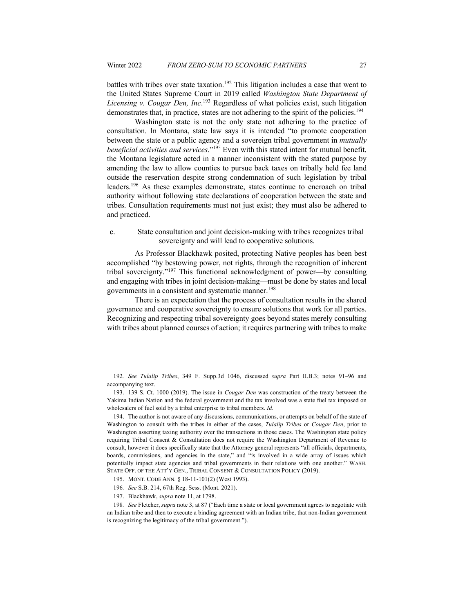battles with tribes over state taxation.<sup>192</sup> This litigation includes a case that went to the United States Supreme Court in 2019 called *Washington State Department of Licensing v. Cougar Den, Inc*. <sup>193</sup> Regardless of what policies exist, such litigation demonstrates that, in practice, states are not adhering to the spirit of the policies.<sup>194</sup>

Washington state is not the only state not adhering to the practice of consultation. In Montana, state law says it is intended "to promote cooperation between the state or a public agency and a sovereign tribal government in *mutually beneficial activities and services*."195 Even with this stated intent for mutual benefit, the Montana legislature acted in a manner inconsistent with the stated purpose by amending the law to allow counties to pursue back taxes on tribally held fee land outside the reservation despite strong condemnation of such legislation by tribal leaders.196 As these examples demonstrate, states continue to encroach on tribal authority without following state declarations of cooperation between the state and tribes. Consultation requirements must not just exist; they must also be adhered to and practiced.

#### c. State consultation and joint decision-making with tribes recognizes tribal sovereignty and will lead to cooperative solutions.

As Professor Blackhawk posited, protecting Native peoples has been best accomplished "by bestowing power, not rights, through the recognition of inherent tribal sovereignty."197 This functional acknowledgment of power—by consulting and engaging with tribes in joint decision-making—must be done by states and local governments in a consistent and systematic manner.<sup>198</sup>

There is an expectation that the process of consultation results in the shared governance and cooperative sovereignty to ensure solutions that work for all parties. Recognizing and respecting tribal sovereignty goes beyond states merely consulting with tribes about planned courses of action; it requires partnering with tribes to make

<sup>192</sup>*. See Tulalip Tribes*, 349 F. Supp.3d 1046, discussed *supra* Part II.B.3; notes 91–96 and accompanying text.

<sup>193.</sup> 139 S. Ct. 1000 (2019). The issue in *Cougar Den* was construction of the treaty between the Yakima Indian Nation and the federal government and the tax involved was a state fuel tax imposed on wholesalers of fuel sold by a tribal enterprise to tribal members. *Id.*

<sup>194.</sup> The author is not aware of any discussions, communications, or attempts on behalf of the state of Washington to consult with the tribes in either of the cases, *Tulalip Tribes* or *Cougar Den*, prior to Washington asserting taxing authority over the transactions in those cases. The Washington state policy requiring Tribal Consent & Consultation does not require the Washington Department of Revenue to consult, however it does specifically state that the Attorney general represents "all officials, departments, boards, commissions, and agencies in the state," and "is involved in a wide array of issues which potentially impact state agencies and tribal governments in their relations with one another." WASH. STATE OFF. OF THE ATT'Y GEN., TRIBAL CONSENT & CONSULTATION POLICY (2019).

<sup>195.</sup> MONT. CODE ANN. § 18-11-101(2) (West 1993).

<sup>196</sup>*. See* S.B. 214, 67th Reg. Sess. (Mont. 2021).

<sup>197.</sup> Blackhawk, *supra* note 11, at 1798.

<sup>198</sup>*. See* Fletcher, *supra* note 3, at 87 ("Each time a state or local government agrees to negotiate with an Indian tribe and then to execute a binding agreement with an Indian tribe, that non-Indian government is recognizing the legitimacy of the tribal government.").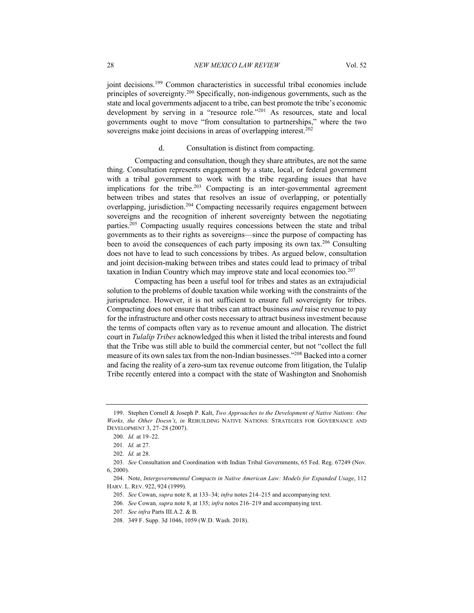joint decisions.<sup>199</sup> Common characteristics in successful tribal economies include principles of sovereignty.200 Specifically, non-indigenous governments, such as the state and local governments adjacent to a tribe, can best promote the tribe's economic development by serving in a "resource role."201 As resources, state and local governments ought to move "from consultation to partnerships," where the two sovereigns make joint decisions in areas of overlapping interest.<sup>202</sup>

#### d. Consultation is distinct from compacting.

Compacting and consultation, though they share attributes, are not the same thing. Consultation represents engagement by a state, local, or federal government with a tribal government to work with the tribe regarding issues that have implications for the tribe.<sup>203</sup> Compacting is an inter-governmental agreement between tribes and states that resolves an issue of overlapping, or potentially overlapping, jurisdiction.<sup>204</sup> Compacting necessarily requires engagement between sovereigns and the recognition of inherent sovereignty between the negotiating parties.205 Compacting usually requires concessions between the state and tribal governments as to their rights as sovereigns—since the purpose of compacting has been to avoid the consequences of each party imposing its own tax.<sup>206</sup> Consulting does not have to lead to such concessions by tribes. As argued below, consultation and joint decision-making between tribes and states could lead to primacy of tribal taxation in Indian Country which may improve state and local economies too. $207$ 

Compacting has been a useful tool for tribes and states as an extrajudicial solution to the problems of double taxation while working with the constraints of the jurisprudence. However, it is not sufficient to ensure full sovereignty for tribes. Compacting does not ensure that tribes can attract business *and* raise revenue to pay for the infrastructure and other costs necessary to attract business investment because the terms of compacts often vary as to revenue amount and allocation. The district court in *Tulalip Tribes* acknowledged this when it listed the tribal interests and found that the Tribe was still able to build the commercial center, but not "collect the full measure of its own sales tax from the non-Indian businesses."208 Backed into a corner and facing the reality of a zero-sum tax revenue outcome from litigation, the Tulalip Tribe recently entered into a compact with the state of Washington and Snohomish

<sup>199.</sup> Stephen Cornell & Joseph P. Kalt, *Two Approaches to the Development of Native Nations: One Works, the Other Doesn't*, *in* REBUILDING NATIVE NATIONS: STRATEGIES FOR GOVERNANCE AND DEVELOPMENT 3, 27–28 (2007).

<sup>200</sup>*. Id.* at 19–22.

<sup>201</sup>*. Id.* at 27.

<sup>202</sup>*. Id.* at 28.

<sup>203</sup>*. See* Consultation and Coordination with Indian Tribal Governments, 65 Fed. Reg. 67249 (Nov. 6, 2000).

<sup>204.</sup> Note, *Intergovernmental Compacts in Native American Law: Models for Expanded Usage*, 112 HARV. L. REV. 922, 924 (1999).

<sup>205</sup>*. See* Cowan, *supra* note 8, at 133–34; *infra* notes 214–215 and accompanying text.

<sup>206</sup>*. See* Cowan*, supra* note 8, at 135; *infra* notes 216–219 and accompanying text.

<sup>207</sup>*. See infra* Parts III.A.2. & B.

<sup>208.</sup> 349 F. Supp. 3d 1046, 1059 (W.D. Wash. 2018).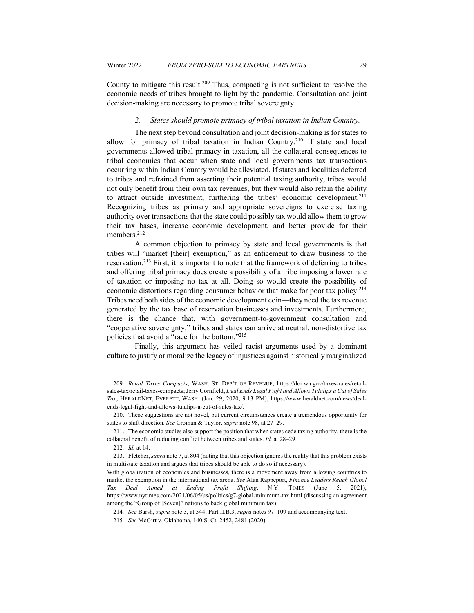County to mitigate this result.209 Thus, compacting is not sufficient to resolve the economic needs of tribes brought to light by the pandemic. Consultation and joint decision-making are necessary to promote tribal sovereignty.

#### *2. States should promote primacy of tribal taxation in Indian Country.*

The next step beyond consultation and joint decision-making is for states to allow for primacy of tribal taxation in Indian Country.<sup>210</sup> If state and local governments allowed tribal primacy in taxation, all the collateral consequences to tribal economies that occur when state and local governments tax transactions occurring within Indian Country would be alleviated. If states and localities deferred to tribes and refrained from asserting their potential taxing authority, tribes would not only benefit from their own tax revenues, but they would also retain the ability to attract outside investment, furthering the tribes' economic development.<sup>211</sup> Recognizing tribes as primary and appropriate sovereigns to exercise taxing authority over transactions that the state could possibly tax would allow them to grow their tax bases, increase economic development, and better provide for their members.<sup>212</sup>

A common objection to primacy by state and local governments is that tribes will "market [their] exemption," as an enticement to draw business to the reservation.213 First, it is important to note that the framework of deferring to tribes and offering tribal primacy does create a possibility of a tribe imposing a lower rate of taxation or imposing no tax at all. Doing so would create the possibility of economic distortions regarding consumer behavior that make for poor tax policy.<sup>214</sup> Tribes need both sides of the economic development coin—they need the tax revenue generated by the tax base of reservation businesses and investments. Furthermore, there is the chance that, with government-to-government consultation and "cooperative sovereignty," tribes and states can arrive at neutral, non-distortive tax policies that avoid a "race for the bottom."215

Finally, this argument has veiled racist arguments used by a dominant culture to justify or moralize the legacy of injustices against historically marginalized

<sup>209</sup>*. Retail Taxes Compacts*, WASH. ST. DEP'T OF REVENUE, https://dor.wa.gov/taxes-rates/retailsales-tax/retail-taxes-compacts; Jerry Cornfield, *Deal Ends Legal Fight and Allows Tulalips a Cut of Sales Tax*, HERALDNET, EVERETT, WASH. (Jan. 29, 2020, 9:13 PM), https://www.heraldnet.com/news/dealends-legal-fight-and-allows-tulalips-a-cut-of-sales-tax/.

<sup>210.</sup> These suggestions are not novel, but current circumstances create a tremendous opportunity for states to shift direction. *See* Croman & Taylor, *supra* note 98, at 27–29.

<sup>211.</sup> The economic studies also support the position that when states cede taxing authority, there is the collateral benefit of reducing conflict between tribes and states. *Id.* at 28–29.

<sup>212</sup>*. Id.* at 14.

<sup>213.</sup> Fletcher, *supra* note 7, at 804 (noting that this objection ignores the reality that this problem exists in multistate taxation and argues that tribes should be able to do so if necessary).

With globalization of economies and businesses, there is a movement away from allowing countries to market the exemption in the international tax arena. *See* Alan Rappeport, *Finance Leaders Reach Global Tax Deal Aimed at Ending Profit Shifting*, N.Y. TIMES (June 5, 2021), https://www.nytimes.com/2021/06/05/us/politics/g7-global-minimum-tax.html (discussing an agreement among the "Group of [Seven]" nations to back global minimum tax).

<sup>214</sup>*. See* Barsh, *supra* note 3, at 544; Part II.B.3, *supra* notes 97–109 and accompanying text.

<sup>215</sup>*. See* McGirt v. Oklahoma, 140 S. Ct. 2452, 2481 (2020).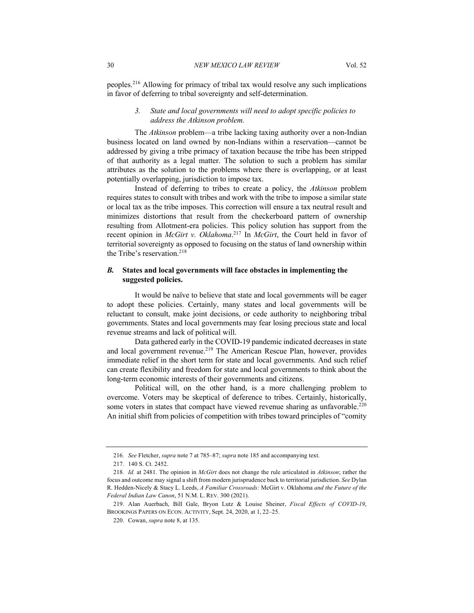peoples.216 Allowing for primacy of tribal tax would resolve any such implications in favor of deferring to tribal sovereignty and self-determination.

# *3. State and local governments will need to adopt specific policies to address the Atkinson problem.*

The *Atkinson* problem—a tribe lacking taxing authority over a non-Indian business located on land owned by non-Indians within a reservation—cannot be addressed by giving a tribe primacy of taxation because the tribe has been stripped of that authority as a legal matter. The solution to such a problem has similar attributes as the solution to the problems where there is overlapping, or at least potentially overlapping, jurisdiction to impose tax.

Instead of deferring to tribes to create a policy, the *Atkinson* problem requires states to consult with tribes and work with the tribe to impose a similar state or local tax as the tribe imposes. This correction will ensure a tax neutral result and minimizes distortions that result from the checkerboard pattern of ownership resulting from Allotment-era policies. This policy solution has support from the recent opinion in *McGirt v. Oklahoma*. <sup>217</sup> In *McGirt*, the Court held in favor of territorial sovereignty as opposed to focusing on the status of land ownership within the Tribe's reservation.<sup>218</sup>

### *B.* **States and local governments will face obstacles in implementing the suggested policies.**

It would be naïve to believe that state and local governments will be eager to adopt these policies. Certainly, many states and local governments will be reluctant to consult, make joint decisions, or cede authority to neighboring tribal governments. States and local governments may fear losing precious state and local revenue streams and lack of political will.

Data gathered early in the COVID-19 pandemic indicated decreases in state and local government revenue.<sup>219</sup> The American Rescue Plan, however, provides immediate relief in the short term for state and local governments. And such relief can create flexibility and freedom for state and local governments to think about the long-term economic interests of their governments and citizens.

Political will, on the other hand, is a more challenging problem to overcome. Voters may be skeptical of deference to tribes. Certainly, historically, some voters in states that compact have viewed revenue sharing as unfavorable.<sup>220</sup> An initial shift from policies of competition with tribes toward principles of "comity

<sup>216</sup>*. See* Fletcher, *supra* note 7 at 785–87; *supra* note 185 and accompanying text.

<sup>217.</sup> 140 S. Ct. 2452.

<sup>218</sup>*. Id.* at 2481. The opinion in *McGirt* does not change the rule articulated in *Atkinson*; rather the focus and outcome may signal a shift from modern jurisprudence back to territorial jurisdiction. *See* Dylan R. Hedden-Nicely & Stacy L. Leeds, *A Familiar Crossroads:* McGirt v. Oklahoma *and the Future of the Federal Indian Law Canon*, 51 N.M. L. REV. 300 (2021).

<sup>219.</sup> Alan Auerbach, Bill Gale, Bryon Lutz & Louise Sheiner, *Fiscal Effects of COVID-19*, BROOKINGS PAPERS ON ECON. ACTIVITY, Sept. 24, 2020, at 1, 22–25.

<sup>220.</sup> Cowan, *supra* note 8, at 135.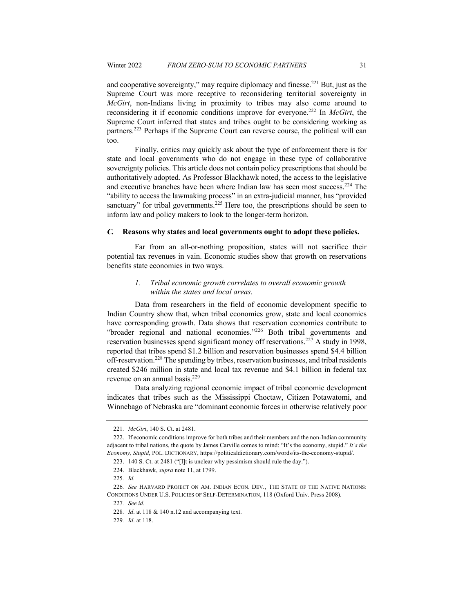and cooperative sovereignty," may require diplomacy and finesse.221 But, just as the Supreme Court was more receptive to reconsidering territorial sovereignty in *McGirt*, non-Indians living in proximity to tribes may also come around to reconsidering it if economic conditions improve for everyone.222 In *McGirt*, the Supreme Court inferred that states and tribes ought to be considering working as partners.223 Perhaps if the Supreme Court can reverse course, the political will can too.

Finally, critics may quickly ask about the type of enforcement there is for state and local governments who do not engage in these type of collaborative sovereignty policies. This article does not contain policy prescriptions that should be authoritatively adopted. As Professor Blackhawk noted, the access to the legislative and executive branches have been where Indian law has seen most success.224 The "ability to access the lawmaking process" in an extra-judicial manner, has "provided sanctuary" for tribal governments.<sup>225</sup> Here too, the prescriptions should be seen to inform law and policy makers to look to the longer-term horizon.

#### *C.* **Reasons why states and local governments ought to adopt these policies.**

Far from an all-or-nothing proposition, states will not sacrifice their potential tax revenues in vain. Economic studies show that growth on reservations benefits state economies in two ways.

## *1. Tribal economic growth correlates to overall economic growth within the states and local areas.*

Data from researchers in the field of economic development specific to Indian Country show that, when tribal economies grow, state and local economies have corresponding growth. Data shows that reservation economies contribute to "broader regional and national economies."226 Both tribal governments and reservation businesses spend significant money off reservations.<sup>227</sup> A study in 1998, reported that tribes spend \$1.2 billion and reservation businesses spend \$4.4 billion off-reservation.228 The spending by tribes, reservation businesses, and tribal residents created \$246 million in state and local tax revenue and \$4.1 billion in federal tax revenue on an annual basis.<sup>229</sup>

Data analyzing regional economic impact of tribal economic development indicates that tribes such as the Mississippi Choctaw, Citizen Potawatomi, and Winnebago of Nebraska are "dominant economic forces in otherwise relatively poor

<sup>221</sup>*. McGirt*, 140 S. Ct. at 2481.

<sup>222.</sup> If economic conditions improve for both tribes and their members and the non-Indian community adjacent to tribal nations, the quote by James Carville comes to mind: "It's the economy, stupid." *It's the Economy, Stupid*, POL. DICTIONARY, https://politicaldictionary.com/words/its-the-economy-stupid/.

<sup>223.</sup> 140 S. Ct. at 2481 ("[I]t is unclear why pessimism should rule the day.").

<sup>224.</sup> Blackhawk, *supra* note 11, at 1799.

<sup>225</sup>*. Id.*

<sup>226</sup>*. See* HARVARD PROJECT ON AM. INDIAN ECON. DEV., THE STATE OF THE NATIVE NATIONS: CONDITIONS UNDER U.S. POLICIES OF SELF-DETERMINATION, 118 (Oxford Univ. Press 2008).

<sup>227</sup>*. See id*.

<sup>228</sup>*. Id*. at 118 & 140 n.12 and accompanying text.

<sup>229</sup>*. Id*. at 118.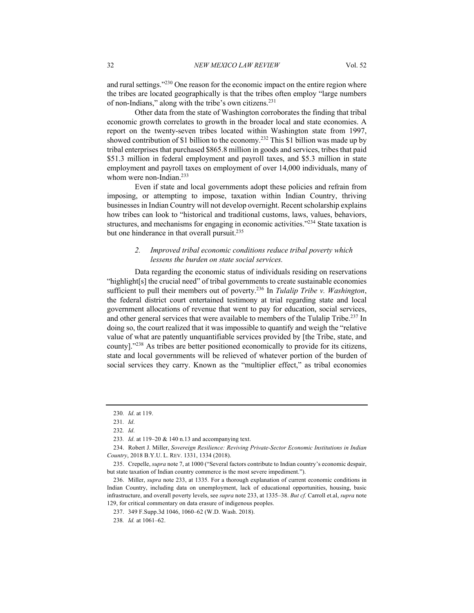Other data from the state of Washington corroborates the finding that tribal economic growth correlates to growth in the broader local and state economies. A report on the twenty-seven tribes located within Washington state from 1997, showed contribution of \$1 billion to the economy.<sup>232</sup> This \$1 billion was made up by tribal enterprises that purchased \$865.8 million in goods and services, tribes that paid \$51.3 million in federal employment and payroll taxes, and \$5.3 million in state employment and payroll taxes on employment of over 14,000 individuals, many of whom were non-Indian.<sup>233</sup>

Even if state and local governments adopt these policies and refrain from imposing, or attempting to impose, taxation within Indian Country, thriving businesses in Indian Country will not develop overnight. Recent scholarship explains how tribes can look to "historical and traditional customs, laws, values, behaviors, structures, and mechanisms for engaging in economic activities."234 State taxation is but one hinderance in that overall pursuit.<sup>235</sup>

# *2. Improved tribal economic conditions reduce tribal poverty which lessens the burden on state social services.*

Data regarding the economic status of individuals residing on reservations "highlight[s] the crucial need" of tribal governments to create sustainable economies sufficient to pull their members out of poverty.236 In *Tulalip Tribe v. Washington*, the federal district court entertained testimony at trial regarding state and local government allocations of revenue that went to pay for education, social services, and other general services that were available to members of the Tulalip Tribe.<sup>237</sup> In doing so, the court realized that it was impossible to quantify and weigh the "relative value of what are patently unquantifiable services provided by [the Tribe, state, and county]."238 As tribes are better positioned economically to provide for its citizens, state and local governments will be relieved of whatever portion of the burden of social services they carry. Known as the "multiplier effect," as tribal economies

<sup>230</sup>*. Id*. at 119.

<sup>231</sup>*. Id*.

<sup>232</sup>*. Id*.

<sup>233</sup>*. Id*. at 119–20 & 140 n.13 and accompanying text.

<sup>234.</sup> Robert J. Miller, *Sovereign Resilience: Reviving Private-Sector Economic Institutions in Indian Country*, 2018 B.Y.U. L. REV. 1331, 1334 (2018).

<sup>235.</sup> Crepelle, *supra* note 7, at 1000 ("Several factors contribute to Indian country's economic despair, but state taxation of Indian country commerce is the most severe impediment.").

<sup>236.</sup> Miller, *supra* note 233, at 1335. For a thorough explanation of current economic conditions in Indian Country, including data on unemployment, lack of educational opportunities, housing, basic infrastructure, and overall poverty levels, see *supra* note 233, at 1335–38. *But cf.* Carroll et.al, *supra* note 129, for critical commentary on data erasure of indigenous peoples.

<sup>237.</sup> 349 F.Supp.3d 1046, 1060–62 (W.D. Wash. 2018).

<sup>238</sup>*. Id.* at 1061–62.